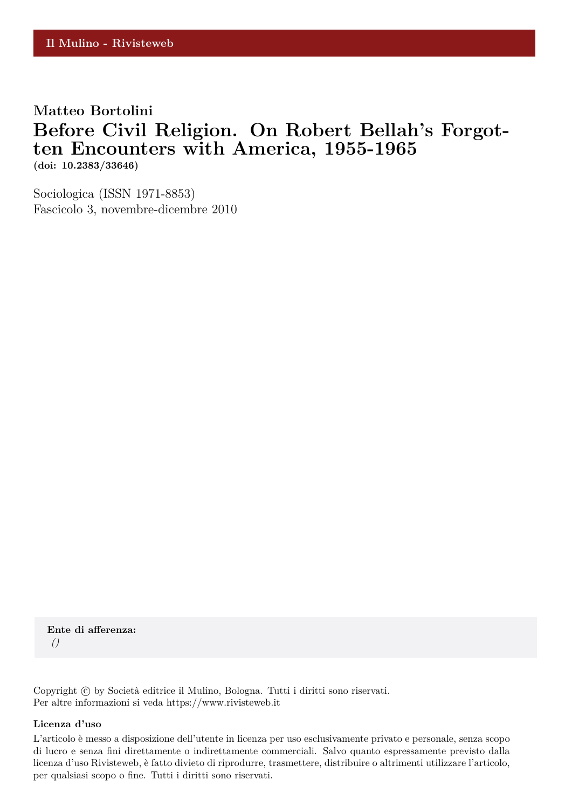## **Matteo Bortolini Before Civil Religion. On Robert Bellah's Forgotten Encounters with America, 1955-1965**

**(doi: 10.2383/33646)**

Sociologica (ISSN 1971-8853) Fascicolo 3, novembre-dicembre 2010

**Ente di afferenza:** *()*

Copyright © by Società editrice il Mulino, Bologna. Tutti i diritti sono riservati. Per altre informazioni si veda https://www.rivisteweb.it

#### **Licenza d'uso**

L'articolo è messo a disposizione dell'utente in licenza per uso esclusivamente privato e personale, senza scopo di lucro e senza fini direttamente o indirettamente commerciali. Salvo quanto espressamente previsto dalla licenza d'uso Rivisteweb, è fatto divieto di riprodurre, trasmettere, distribuire o altrimenti utilizzare l'articolo, per qualsiasi scopo o fine. Tutti i diritti sono riservati.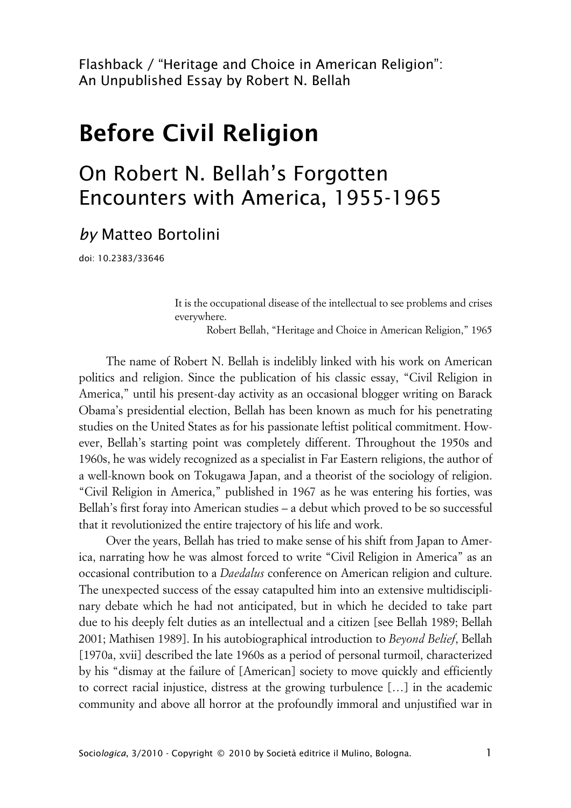Flashback / "Heritage and Choice in American Religion": An Unpublished Essay by Robert N. Bellah

# **Before Civil Religion**

## On Robert N. Bellah's Forgotten Encounters with America, 1955-1965

## *by* Matteo Bortolini

doi: 10.2383/33646

It is the occupational disease of the intellectual to see problems and crises everywhere.

Robert Bellah, "Heritage and Choice in American Religion," 1965

The name of Robert N. Bellah is indelibly linked with his work on American politics and religion. Since the publication of his classic essay, "Civil Religion in America," until his present-day activity as an occasional blogger writing on Barack Obama's presidential election, Bellah has been known as much for his penetrating studies on the United States as for his passionate leftist political commitment. However, Bellah's starting point was completely different. Throughout the 1950s and 1960s, he was widely recognized as a specialist in Far Eastern religions, the author of a well-known book on Tokugawa Japan, and a theorist of the sociology of religion. "Civil Religion in America," published in 1967 as he was entering his forties, was Bellah's first foray into American studies – a debut which proved to be so successful that it revolutionized the entire trajectory of his life and work.

Over the years, Bellah has tried to make sense of his shift from Japan to America, narrating how he was almost forced to write "Civil Religion in America" as an occasional contribution to a *Daedalus* conference on American religion and culture. The unexpected success of the essay catapulted him into an extensive multidisciplinary debate which he had not anticipated, but in which he decided to take part due to his deeply felt duties as an intellectual and a citizen [see Bellah 1989; Bellah 2001; Mathisen 1989]. In his autobiographical introduction to *Beyond Belief*, Bellah [1970a, xvii] described the late 1960s as a period of personal turmoil, characterized by his "dismay at the failure of [American] society to move quickly and efficiently to correct racial injustice, distress at the growing turbulence […] in the academic community and above all horror at the profoundly immoral and unjustified war in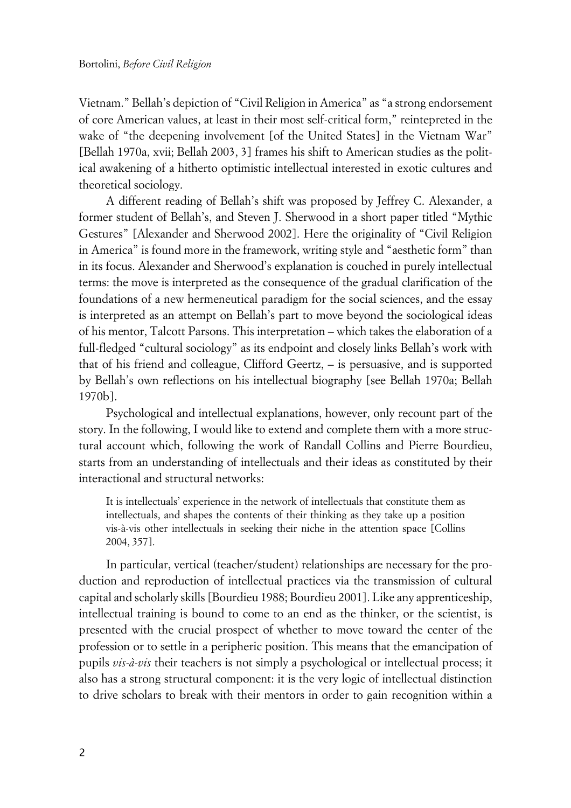Vietnam." Bellah's depiction of "Civil Religion in America" as "a strong endorsement of core American values, at least in their most self-critical form," reintepreted in the wake of "the deepening involvement [of the United States] in the Vietnam War" [Bellah 1970a, xvii; Bellah 2003, 3] frames his shift to American studies as the political awakening of a hitherto optimistic intellectual interested in exotic cultures and theoretical sociology.

A different reading of Bellah's shift was proposed by Jeffrey C. Alexander, a former student of Bellah's, and Steven J. Sherwood in a short paper titled "Mythic Gestures" [Alexander and Sherwood 2002]. Here the originality of "Civil Religion in America" is found more in the framework, writing style and "aesthetic form" than in its focus. Alexander and Sherwood's explanation is couched in purely intellectual terms: the move is interpreted as the consequence of the gradual clarification of the foundations of a new hermeneutical paradigm for the social sciences, and the essay is interpreted as an attempt on Bellah's part to move beyond the sociological ideas of his mentor, Talcott Parsons. This interpretation – which takes the elaboration of a full-fledged "cultural sociology" as its endpoint and closely links Bellah's work with that of his friend and colleague, Clifford Geertz, – is persuasive, and is supported by Bellah's own reflections on his intellectual biography [see Bellah 1970a; Bellah 1970b].

Psychological and intellectual explanations, however, only recount part of the story. In the following, I would like to extend and complete them with a more structural account which, following the work of Randall Collins and Pierre Bourdieu, starts from an understanding of intellectuals and their ideas as constituted by their interactional and structural networks:

It is intellectuals' experience in the network of intellectuals that constitute them as intellectuals, and shapes the contents of their thinking as they take up a position vis-à-vis other intellectuals in seeking their niche in the attention space [Collins 2004, 357].

In particular, vertical (teacher/student) relationships are necessary for the production and reproduction of intellectual practices via the transmission of cultural capital and scholarly skills [Bourdieu 1988; Bourdieu 2001]. Like any apprenticeship, intellectual training is bound to come to an end as the thinker, or the scientist, is presented with the crucial prospect of whether to move toward the center of the profession or to settle in a peripheric position. This means that the emancipation of pupils *vis-à-vis* their teachers is not simply a psychological or intellectual process; it also has a strong structural component: it is the very logic of intellectual distinction to drive scholars to break with their mentors in order to gain recognition within a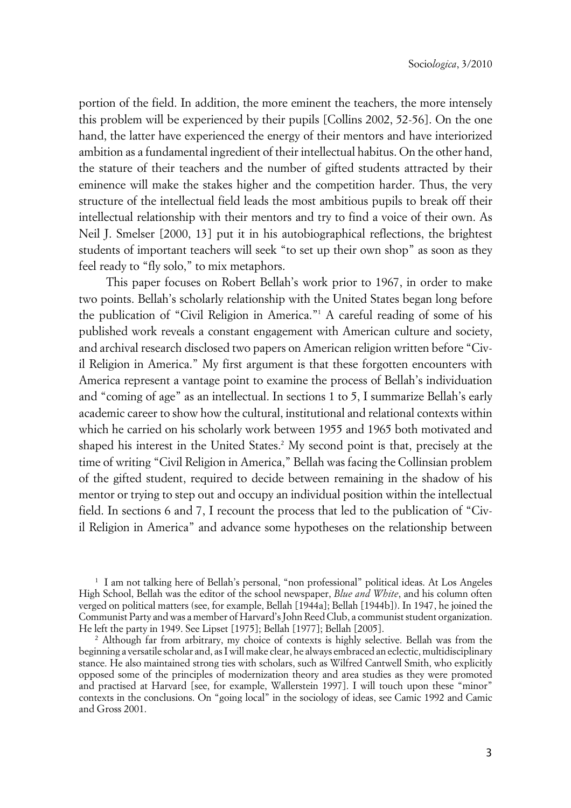portion of the field. In addition, the more eminent the teachers, the more intensely this problem will be experienced by their pupils [Collins 2002, 52-56]. On the one hand, the latter have experienced the energy of their mentors and have interiorized ambition as a fundamental ingredient of their intellectual habitus. On the other hand, the stature of their teachers and the number of gifted students attracted by their eminence will make the stakes higher and the competition harder. Thus, the very structure of the intellectual field leads the most ambitious pupils to break off their intellectual relationship with their mentors and try to find a voice of their own. As Neil J. Smelser [2000, 13] put it in his autobiographical reflections, the brightest students of important teachers will seek "to set up their own shop" as soon as they feel ready to "fly solo," to mix metaphors.

This paper focuses on Robert Bellah's work prior to 1967, in order to make two points. Bellah's scholarly relationship with the United States began long before the publication of "Civil Religion in America."<sup>1</sup> A careful reading of some of his published work reveals a constant engagement with American culture and society, and archival research disclosed two papers on American religion written before "Civil Religion in America." My first argument is that these forgotten encounters with America represent a vantage point to examine the process of Bellah's individuation and "coming of age" as an intellectual. In sections 1 to 5, I summarize Bellah's early academic career to show how the cultural, institutional and relational contexts within which he carried on his scholarly work between 1955 and 1965 both motivated and shaped his interest in the United States.<sup>2</sup> My second point is that, precisely at the time of writing "Civil Religion in America," Bellah was facing the Collinsian problem of the gifted student, required to decide between remaining in the shadow of his mentor or trying to step out and occupy an individual position within the intellectual field. In sections 6 and 7, I recount the process that led to the publication of "Civil Religion in America" and advance some hypotheses on the relationship between

1 I am not talking here of Bellah's personal, "non professional" political ideas. At Los Angeles High School, Bellah was the editor of the school newspaper, *Blue and White*, and his column often verged on political matters (see, for example, Bellah [1944a]; Bellah [1944b]). In 1947, he joined the Communist Party and was a member of Harvard's John Reed Club, a communist student organization. He left the party in 1949. See Lipset [1975]; Bellah [1977]; Bellah [2005].

2 Although far from arbitrary, my choice of contexts is highly selective. Bellah was from the beginning a versatile scholar and, as I will make clear, he always embraced an eclectic, multidisciplinary stance. He also maintained strong ties with scholars, such as Wilfred Cantwell Smith, who explicitly opposed some of the principles of modernization theory and area studies as they were promoted and practised at Harvard [see, for example, Wallerstein 1997]. I will touch upon these "minor" contexts in the conclusions. On "going local" in the sociology of ideas, see Camic 1992 and Camic and Gross 2001.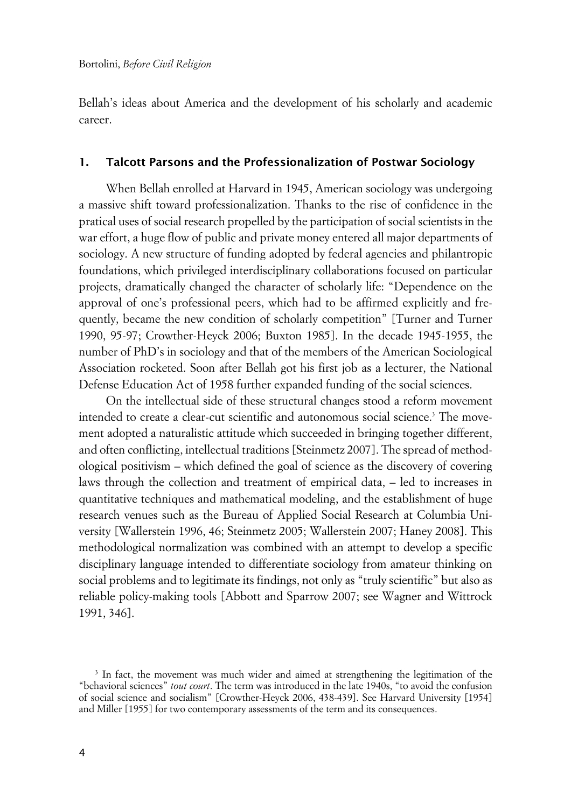Bellah's ideas about America and the development of his scholarly and academic career.

#### **1. Talcott Parsons and the Professionalization of Postwar Sociology**

When Bellah enrolled at Harvard in 1945, American sociology was undergoing a massive shift toward professionalization. Thanks to the rise of confidence in the pratical uses of social research propelled by the participation of social scientists in the war effort, a huge flow of public and private money entered all major departments of sociology. A new structure of funding adopted by federal agencies and philantropic foundations, which privileged interdisciplinary collaborations focused on particular projects, dramatically changed the character of scholarly life: "Dependence on the approval of one's professional peers, which had to be affirmed explicitly and frequently, became the new condition of scholarly competition" [Turner and Turner 1990, 95-97; Crowther-Heyck 2006; Buxton 1985]. In the decade 1945-1955, the number of PhD's in sociology and that of the members of the American Sociological Association rocketed. Soon after Bellah got his first job as a lecturer, the National Defense Education Act of 1958 further expanded funding of the social sciences.

On the intellectual side of these structural changes stood a reform movement intended to create a clear-cut scientific and autonomous social science.<sup>3</sup> The movement adopted a naturalistic attitude which succeeded in bringing together different, and often conflicting, intellectual traditions [Steinmetz 2007]. The spread of methodological positivism – which defined the goal of science as the discovery of covering laws through the collection and treatment of empirical data, – led to increases in quantitative techniques and mathematical modeling, and the establishment of huge research venues such as the Bureau of Applied Social Research at Columbia University [Wallerstein 1996, 46; Steinmetz 2005; Wallerstein 2007; Haney 2008]. This methodological normalization was combined with an attempt to develop a specific disciplinary language intended to differentiate sociology from amateur thinking on social problems and to legitimate its findings, not only as "truly scientific" but also as reliable policy-making tools [Abbott and Sparrow 2007; see Wagner and Wittrock 1991, 346].

<sup>&</sup>lt;sup>3</sup> In fact, the movement was much wider and aimed at strengthening the legitimation of the "behavioral sciences" *tout court*. The term was introduced in the late 1940s, "to avoid the confusion of social science and socialism" [Crowther-Heyck 2006, 438-439]. See Harvard University [1954] and Miller [1955] for two contemporary assessments of the term and its consequences.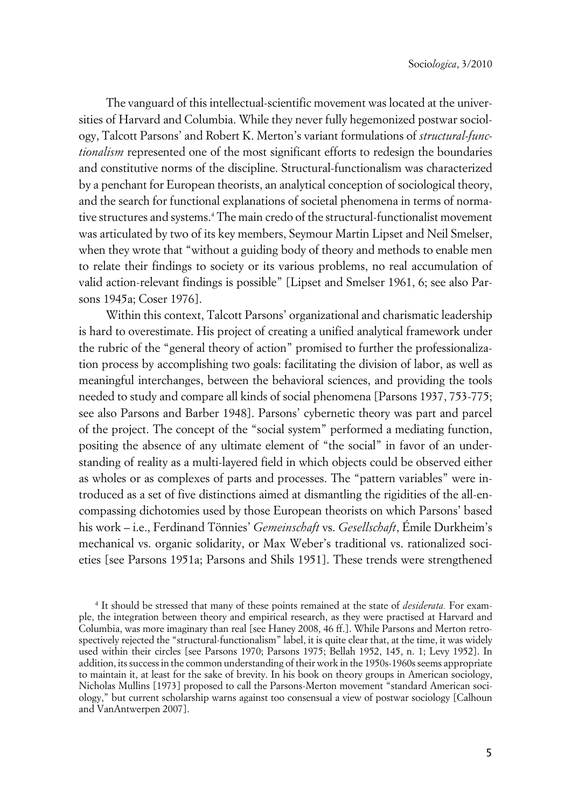The vanguard of this intellectual-scientific movement was located at the universities of Harvard and Columbia. While they never fully hegemonized postwar sociology, Talcott Parsons' and Robert K. Merton's variant formulations of *structural-functionalism* represented one of the most significant efforts to redesign the boundaries and constitutive norms of the discipline. Structural-functionalism was characterized by a penchant for European theorists, an analytical conception of sociological theory, and the search for functional explanations of societal phenomena in terms of normative structures and systems.<sup>4</sup> The main credo of the structural-functionalist movement was articulated by two of its key members, Seymour Martin Lipset and Neil Smelser, when they wrote that "without a guiding body of theory and methods to enable men to relate their findings to society or its various problems, no real accumulation of valid action-relevant findings is possible" [Lipset and Smelser 1961, 6; see also Parsons 1945a; Coser 1976].

Within this context, Talcott Parsons' organizational and charismatic leadership is hard to overestimate. His project of creating a unified analytical framework under the rubric of the "general theory of action" promised to further the professionalization process by accomplishing two goals: facilitating the division of labor, as well as meaningful interchanges, between the behavioral sciences, and providing the tools needed to study and compare all kinds of social phenomena [Parsons 1937, 753-775; see also Parsons and Barber 1948]. Parsons' cybernetic theory was part and parcel of the project. The concept of the "social system" performed a mediating function, positing the absence of any ultimate element of "the social" in favor of an understanding of reality as a multi-layered field in which objects could be observed either as wholes or as complexes of parts and processes. The "pattern variables" were introduced as a set of five distinctions aimed at dismantling the rigidities of the all-encompassing dichotomies used by those European theorists on which Parsons' based his work – i.e., Ferdinand Tönnies' *Gemeinschaft* vs. *Gesellschaft*, Émile Durkheim's mechanical vs. organic solidarity, or Max Weber's traditional vs. rationalized societies [see Parsons 1951a; Parsons and Shils 1951]. These trends were strengthened

<sup>4</sup> It should be stressed that many of these points remained at the state of *desiderata.* For example, the integration between theory and empirical research, as they were practised at Harvard and Columbia, was more imaginary than real [see Haney 2008, 46 ff.]. While Parsons and Merton retrospectively rejected the "structural-functionalism" label, it is quite clear that, at the time, it was widely used within their circles [see Parsons 1970; Parsons 1975; Bellah 1952, 145, n. 1; Levy 1952]. In addition, its success in the common understanding of their work in the 1950s-1960s seems appropriate to maintain it, at least for the sake of brevity. In his book on theory groups in American sociology, Nicholas Mullins [1973] proposed to call the Parsons-Merton movement "standard American sociology," but current scholarship warns against too consensual a view of postwar sociology [Calhoun and VanAntwerpen 2007].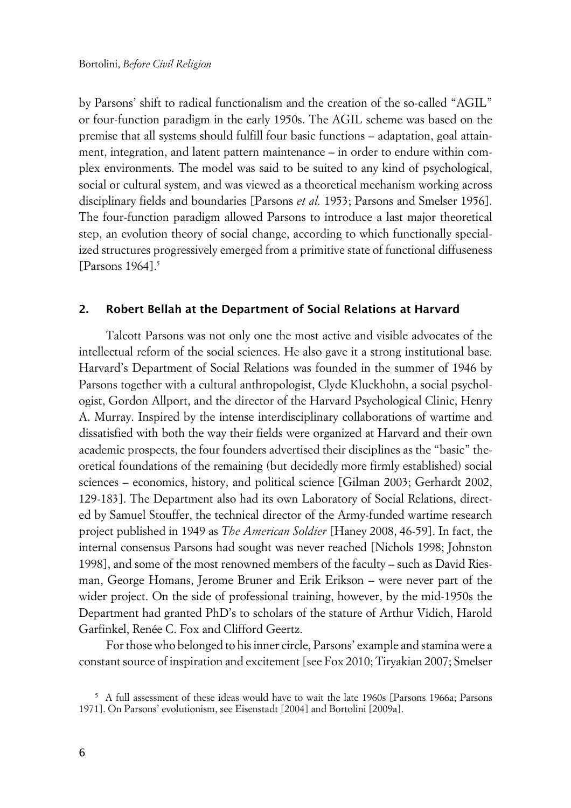by Parsons' shift to radical functionalism and the creation of the so-called "AGIL" or four-function paradigm in the early 1950s. The AGIL scheme was based on the premise that all systems should fulfill four basic functions – adaptation, goal attainment, integration, and latent pattern maintenance – in order to endure within complex environments. The model was said to be suited to any kind of psychological, social or cultural system, and was viewed as a theoretical mechanism working across disciplinary fields and boundaries [Parsons *et al.* 1953; Parsons and Smelser 1956]. The four-function paradigm allowed Parsons to introduce a last major theoretical step, an evolution theory of social change, according to which functionally specialized structures progressively emerged from a primitive state of functional diffuseness [Parsons  $1964$ ].<sup>5</sup>

#### **2. Robert Bellah at the Department of Social Relations at Harvard**

Talcott Parsons was not only one the most active and visible advocates of the intellectual reform of the social sciences. He also gave it a strong institutional base. Harvard's Department of Social Relations was founded in the summer of 1946 by Parsons together with a cultural anthropologist, Clyde Kluckhohn, a social psychologist, Gordon Allport, and the director of the Harvard Psychological Clinic, Henry A. Murray. Inspired by the intense interdisciplinary collaborations of wartime and dissatisfied with both the way their fields were organized at Harvard and their own academic prospects, the four founders advertised their disciplines as the "basic" theoretical foundations of the remaining (but decidedly more firmly established) social sciences – economics, history, and political science [Gilman 2003; Gerhardt 2002, 129-183]. The Department also had its own Laboratory of Social Relations, directed by Samuel Stouffer, the technical director of the Army-funded wartime research project published in 1949 as *The American Soldier* [Haney 2008, 46-59]. In fact, the internal consensus Parsons had sought was never reached [Nichols 1998; Johnston 1998], and some of the most renowned members of the faculty – such as David Riesman, George Homans, Jerome Bruner and Erik Erikson – were never part of the wider project. On the side of professional training, however, by the mid-1950s the Department had granted PhD's to scholars of the stature of Arthur Vidich, Harold Garfinkel, Renée C. Fox and Clifford Geertz.

For those who belonged to his inner circle, Parsons' example and stamina were a constant source of inspiration and excitement [see Fox 2010; Tiryakian 2007; Smelser

<sup>5</sup> A full assessment of these ideas would have to wait the late 1960s [Parsons 1966a; Parsons 1971]. On Parsons' evolutionism, see Eisenstadt [2004] and Bortolini [2009a].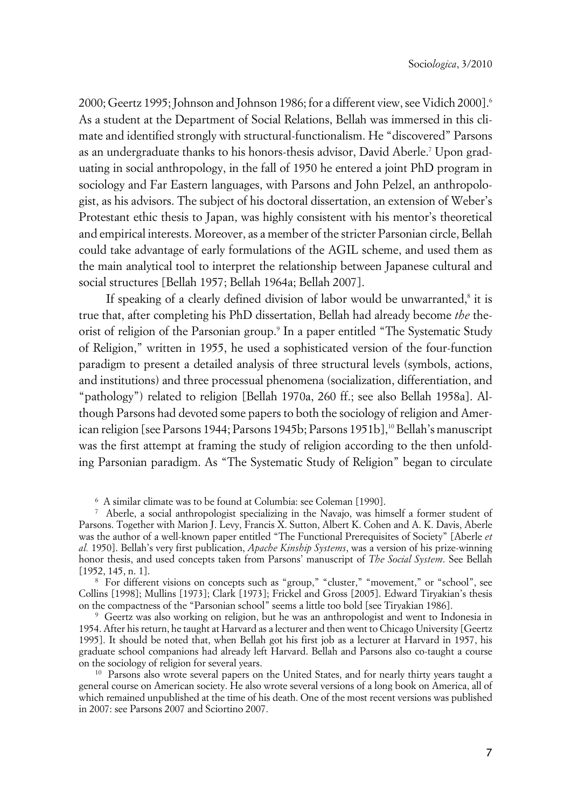2000; Geertz 1995; Johnson and Johnson 1986; for a different view, see Vidich 2000].<sup>6</sup> As a student at the Department of Social Relations, Bellah was immersed in this climate and identified strongly with structural-functionalism. He "discovered" Parsons as an undergraduate thanks to his honors-thesis advisor, David Aberle.<sup>7</sup> Upon graduating in social anthropology, in the fall of 1950 he entered a joint PhD program in sociology and Far Eastern languages, with Parsons and John Pelzel, an anthropologist, as his advisors. The subject of his doctoral dissertation, an extension of Weber's Protestant ethic thesis to Japan, was highly consistent with his mentor's theoretical and empirical interests. Moreover, as a member of the stricter Parsonian circle, Bellah could take advantage of early formulations of the AGIL scheme, and used them as the main analytical tool to interpret the relationship between Japanese cultural and social structures [Bellah 1957; Bellah 1964a; Bellah 2007].

If speaking of a clearly defined division of labor would be unwarranted,<sup>8</sup> it is true that, after completing his PhD dissertation, Bellah had already become *the* theorist of religion of the Parsonian group.<sup>9</sup> In a paper entitled "The Systematic Study of Religion," written in 1955, he used a sophisticated version of the four-function paradigm to present a detailed analysis of three structural levels (symbols, actions, and institutions) and three processual phenomena (socialization, differentiation, and "pathology") related to religion [Bellah 1970a, 260 ff.; see also Bellah 1958a]. Although Parsons had devoted some papers to both the sociology of religion and American religion [see Parsons 1944; Parsons 1945b; Parsons 1951b],<sup>10</sup> Bellah's manuscript was the first attempt at framing the study of religion according to the then unfolding Parsonian paradigm. As "The Systematic Study of Religion" began to circulate

6 A similar climate was to be found at Columbia: see Coleman [1990].

7 Aberle, a social anthropologist specializing in the Navajo, was himself a former student of Parsons. Together with Marion J. Levy, Francis X. Sutton, Albert K. Cohen and A. K. Davis, Aberle was the author of a well-known paper entitled "The Functional Prerequisites of Society" [Aberle *et al.* 1950]. Bellah's very first publication, *Apache Kinship Systems*, was a version of his prize-winning honor thesis, and used concepts taken from Parsons' manuscript of *The Social System*. See Bellah [1952, 145, n. 1].

8 For different visions on concepts such as "group," "cluster," "movement," or "school", see Collins [1998]; Mullins [1973]; Clark [1973]; Frickel and Gross [2005]. Edward Tiryakian's thesis on the compactness of the "Parsonian school" seems a little too bold [see Tiryakian 1986].

9 Geertz was also working on religion, but he was an anthropologist and went to Indonesia in 1954. After his return, he taught at Harvard as a lecturer and then went to Chicago University [Geertz 1995]. It should be noted that, when Bellah got his first job as a lecturer at Harvard in 1957, his graduate school companions had already left Harvard. Bellah and Parsons also co-taught a course on the sociology of religion for several years.

<sup>10</sup> Parsons also wrote several papers on the United States, and for nearly thirty years taught a general course on American society. He also wrote several versions of a long book on America, all of which remained unpublished at the time of his death. One of the most recent versions was published in 2007: see Parsons 2007 and Sciortino 2007.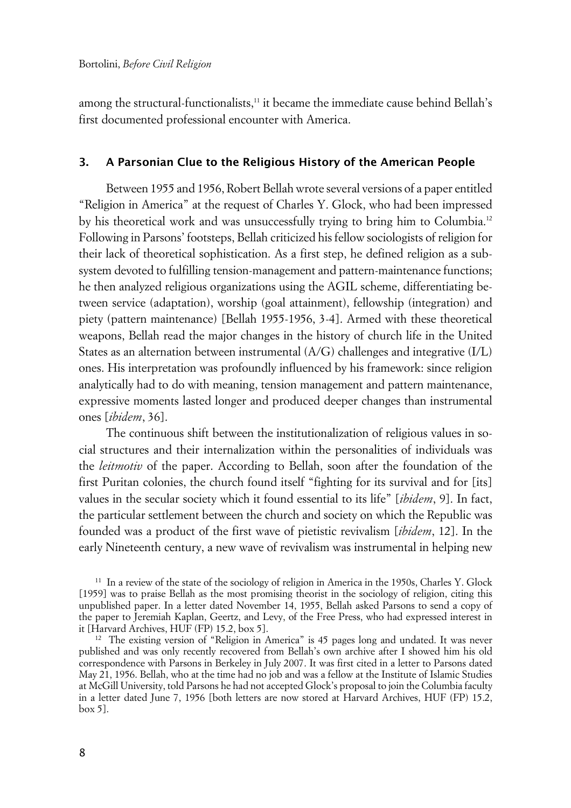among the structural-functionalists,<sup>11</sup> it became the immediate cause behind Bellah's first documented professional encounter with America.

#### **3. A Parsonian Clue to the Religious History of the American People**

Between 1955 and 1956, Robert Bellah wrote several versions of a paper entitled "Religion in America" at the request of Charles Y. Glock, who had been impressed by his theoretical work and was unsuccessfully trying to bring him to Columbia.<sup>12</sup> Following in Parsons' footsteps, Bellah criticized his fellow sociologists of religion for their lack of theoretical sophistication. As a first step, he defined religion as a subsystem devoted to fulfilling tension-management and pattern-maintenance functions; he then analyzed religious organizations using the AGIL scheme, differentiating between service (adaptation), worship (goal attainment), fellowship (integration) and piety (pattern maintenance) [Bellah 1955-1956, 3-4]. Armed with these theoretical weapons, Bellah read the major changes in the history of church life in the United States as an alternation between instrumental (A/G) challenges and integrative (I/L) ones. His interpretation was profoundly influenced by his framework: since religion analytically had to do with meaning, tension management and pattern maintenance, expressive moments lasted longer and produced deeper changes than instrumental ones [*ibidem*, 36].

The continuous shift between the institutionalization of religious values in social structures and their internalization within the personalities of individuals was the *leitmotiv* of the paper. According to Bellah, soon after the foundation of the first Puritan colonies, the church found itself "fighting for its survival and for [its] values in the secular society which it found essential to its life" [*ibidem*, 9]. In fact, the particular settlement between the church and society on which the Republic was founded was a product of the first wave of pietistic revivalism [*ibidem*, 12]. In the early Nineteenth century, a new wave of revivalism was instrumental in helping new

<sup>11</sup> In a review of the state of the sociology of religion in America in the 1950s, Charles Y. Glock [1959] was to praise Bellah as the most promising theorist in the sociology of religion, citing this unpublished paper. In a letter dated November 14, 1955, Bellah asked Parsons to send a copy of the paper to Jeremiah Kaplan, Geertz, and Levy, of the Free Press, who had expressed interest in it [Harvard Archives, HUF (FP) 15.2, box 5].

<sup>12</sup> The existing version of "Religion in America" is 45 pages long and undated. It was never published and was only recently recovered from Bellah's own archive after I showed him his old correspondence with Parsons in Berkeley in July 2007. It was first cited in a letter to Parsons dated May 21, 1956. Bellah, who at the time had no job and was a fellow at the Institute of Islamic Studies at McGill University, told Parsons he had not accepted Glock's proposal to join the Columbia faculty in a letter dated June 7, 1956 [both letters are now stored at Harvard Archives, HUF (FP) 15.2, box 5].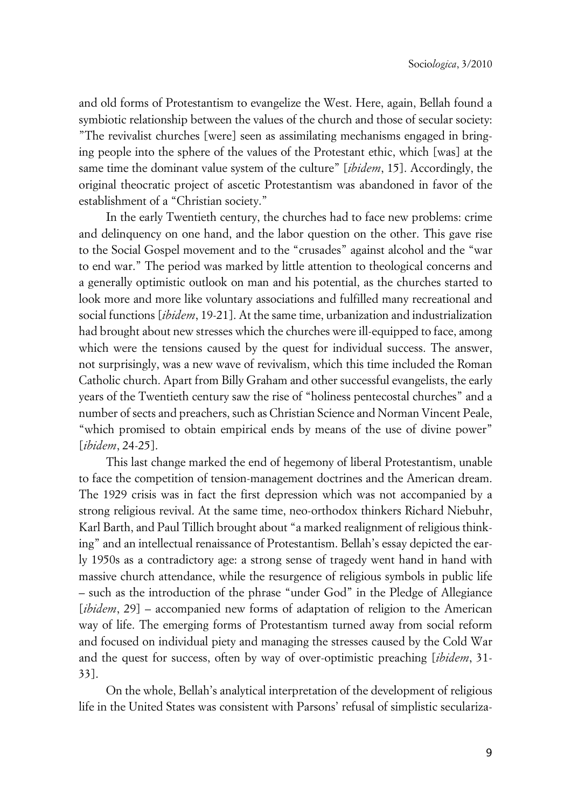and old forms of Protestantism to evangelize the West. Here, again, Bellah found a symbiotic relationship between the values of the church and those of secular society: "The revivalist churches [were] seen as assimilating mechanisms engaged in bringing people into the sphere of the values of the Protestant ethic, which [was] at the same time the dominant value system of the culture" [*ibidem*, 15]. Accordingly, the original theocratic project of ascetic Protestantism was abandoned in favor of the establishment of a "Christian society."

In the early Twentieth century, the churches had to face new problems: crime and delinquency on one hand, and the labor question on the other. This gave rise to the Social Gospel movement and to the "crusades" against alcohol and the "war to end war." The period was marked by little attention to theological concerns and a generally optimistic outlook on man and his potential, as the churches started to look more and more like voluntary associations and fulfilled many recreational and social functions [*ibidem*, 19-21]. At the same time, urbanization and industrialization had brought about new stresses which the churches were ill-equipped to face, among which were the tensions caused by the quest for individual success. The answer, not surprisingly, was a new wave of revivalism, which this time included the Roman Catholic church. Apart from Billy Graham and other successful evangelists, the early years of the Twentieth century saw the rise of "holiness pentecostal churches" and a number of sects and preachers, such as Christian Science and Norman Vincent Peale, "which promised to obtain empirical ends by means of the use of divine power" [*ibidem*, 24-25].

This last change marked the end of hegemony of liberal Protestantism, unable to face the competition of tension-management doctrines and the American dream. The 1929 crisis was in fact the first depression which was not accompanied by a strong religious revival. At the same time, neo-orthodox thinkers Richard Niebuhr, Karl Barth, and Paul Tillich brought about "a marked realignment of religious thinking" and an intellectual renaissance of Protestantism. Bellah's essay depicted the early 1950s as a contradictory age: a strong sense of tragedy went hand in hand with massive church attendance, while the resurgence of religious symbols in public life – such as the introduction of the phrase "under God" in the Pledge of Allegiance [*ibidem*, 29] – accompanied new forms of adaptation of religion to the American way of life. The emerging forms of Protestantism turned away from social reform and focused on individual piety and managing the stresses caused by the Cold War and the quest for success, often by way of over-optimistic preaching [*ibidem*, 31- 33].

On the whole, Bellah's analytical interpretation of the development of religious life in the United States was consistent with Parsons' refusal of simplistic seculariza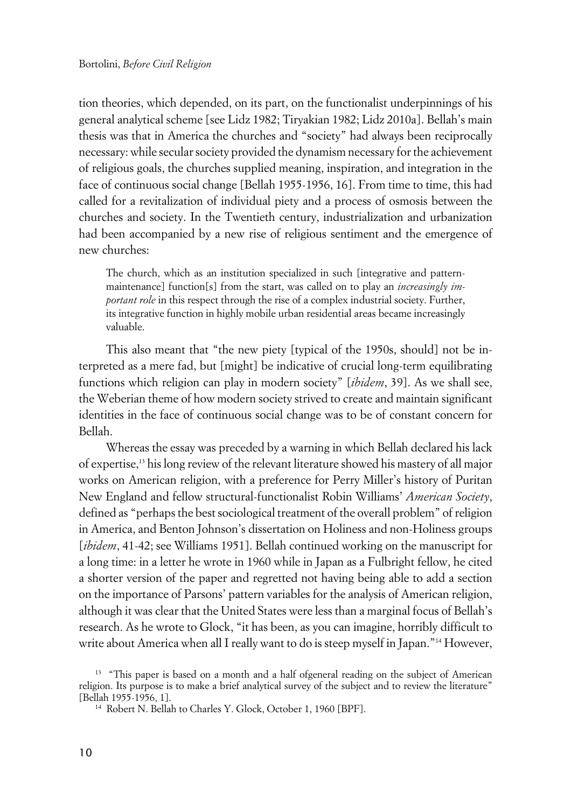tion theories, which depended, on its part, on the functionalist underpinnings of his general analytical scheme [see Lidz 1982; Tiryakian 1982; Lidz 2010a]. Bellah's main thesis was that in America the churches and "society" had always been reciprocally necessary: while secular society provided the dynamism necessary for the achievement of religious goals, the churches supplied meaning, inspiration, and integration in the face of continuous social change [Bellah 1955-1956, 16]. From time to time, this had called for a revitalization of individual piety and a process of osmosis between the churches and society. In the Twentieth century, industrialization and urbanization had been accompanied by a new rise of religious sentiment and the emergence of new churches:

The church, which as an institution specialized in such [integrative and patternmaintenance] function[s] from the start, was called on to play an *increasingly important role* in this respect through the rise of a complex industrial society. Further, its integrative function in highly mobile urban residential areas became increasingly valuable.

This also meant that "the new piety [typical of the 1950s, should] not be interpreted as a mere fad, but [might] be indicative of crucial long-term equilibrating functions which religion can play in modern society" [*ibidem*, 39]. As we shall see, the Weberian theme of how modern society strived to create and maintain significant identities in the face of continuous social change was to be of constant concern for Bellah.

Whereas the essay was preceded by a warning in which Bellah declared his lack of expertise,<sup>13</sup> his long review of the relevant literature showed his mastery of all major works on American religion, with a preference for Perry Miller's history of Puritan New England and fellow structural-functionalist Robin Williams' *American Society*, defined as "perhaps the best sociological treatment of the overall problem" of religion in America, and Benton Johnson's dissertation on Holiness and non-Holiness groups [*ibidem*, 41-42; see Williams 1951]. Bellah continued working on the manuscript for a long time: in a letter he wrote in 1960 while in Japan as a Fulbright fellow, he cited a shorter version of the paper and regretted not having being able to add a section on the importance of Parsons' pattern variables for the analysis of American religion, although it was clear that the United States were less than a marginal focus of Bellah's research. As he wrote to Glock, "it has been, as you can imagine, horribly difficult to write about America when all I really want to do is steep myself in Japan."14 However,

<sup>&</sup>lt;sup>13</sup> "This paper is based on a month and a half ofgeneral reading on the subject of American religion. Its purpose is to make a brief analytical survey of the subject and to review the literature" [Bellah 1955-1956, 1].

<sup>14</sup> Robert N. Bellah to Charles Y. Glock, October 1, 1960 [BPF].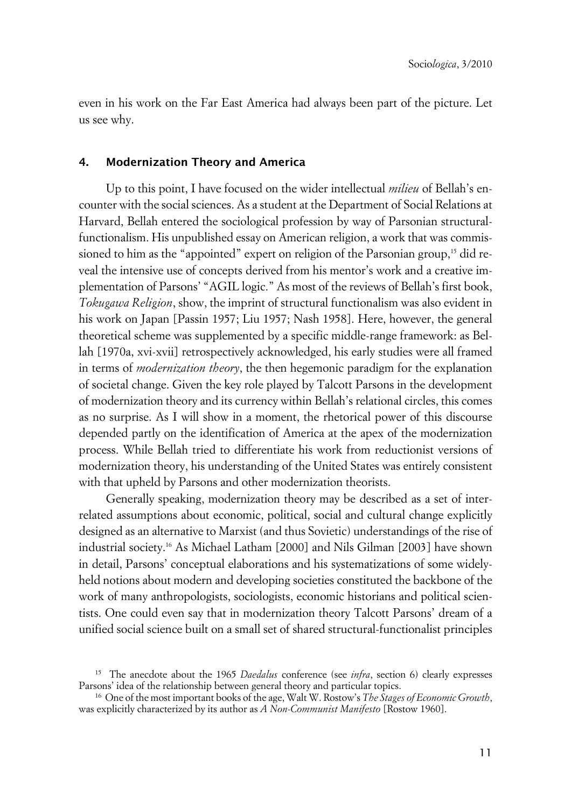even in his work on the Far East America had always been part of the picture. Let us see why.

#### **4. Modernization Theory and America**

Up to this point, I have focused on the wider intellectual *milieu* of Bellah's encounter with the social sciences. As a student at the Department of Social Relations at Harvard, Bellah entered the sociological profession by way of Parsonian structuralfunctionalism. His unpublished essay on American religion, a work that was commissioned to him as the "appointed" expert on religion of the Parsonian group,<sup>15</sup> did reveal the intensive use of concepts derived from his mentor's work and a creative implementation of Parsons' "AGIL logic." As most of the reviews of Bellah's first book, *Tokugawa Religion*, show, the imprint of structural functionalism was also evident in his work on Japan [Passin 1957; Liu 1957; Nash 1958]. Here, however, the general theoretical scheme was supplemented by a specific middle-range framework: as Bellah [1970a, xvi-xvii] retrospectively acknowledged, his early studies were all framed in terms of *modernization theory*, the then hegemonic paradigm for the explanation of societal change. Given the key role played by Talcott Parsons in the development of modernization theory and its currency within Bellah's relational circles, this comes as no surprise. As I will show in a moment, the rhetorical power of this discourse depended partly on the identification of America at the apex of the modernization process. While Bellah tried to differentiate his work from reductionist versions of modernization theory, his understanding of the United States was entirely consistent with that upheld by Parsons and other modernization theorists.

Generally speaking, modernization theory may be described as a set of interrelated assumptions about economic, political, social and cultural change explicitly designed as an alternative to Marxist (and thus Sovietic) understandings of the rise of industrial society.16 As Michael Latham [2000] and Nils Gilman [2003] have shown in detail, Parsons' conceptual elaborations and his systematizations of some widelyheld notions about modern and developing societies constituted the backbone of the work of many anthropologists, sociologists, economic historians and political scientists. One could even say that in modernization theory Talcott Parsons' dream of a unified social science built on a small set of shared structural-functionalist principles

<sup>15</sup> The anecdote about the 1965 *Daedalus* conference (see *infra*, section 6) clearly expresses Parsons' idea of the relationship between general theory and particular topics.

<sup>16</sup> One of the most important books of the age, Walt W. Rostow's *The Stages of Economic Growth*, was explicitly characterized by its author as *A Non-Communist Manifesto* [Rostow 1960].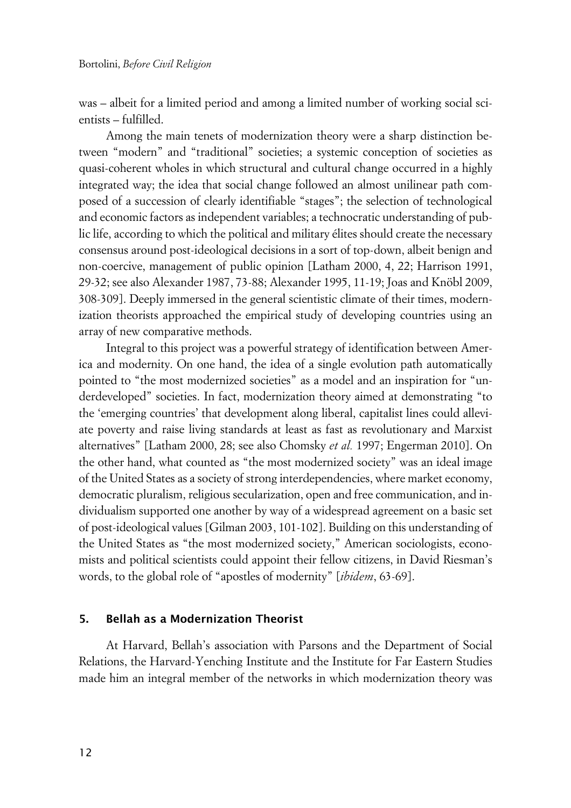was – albeit for a limited period and among a limited number of working social scientists – fulfilled.

Among the main tenets of modernization theory were a sharp distinction between "modern" and "traditional" societies; a systemic conception of societies as quasi-coherent wholes in which structural and cultural change occurred in a highly integrated way; the idea that social change followed an almost unilinear path composed of a succession of clearly identifiable "stages"; the selection of technological and economic factors as independent variables; a technocratic understanding of public life, according to which the political and military élites should create the necessary consensus around post-ideological decisions in a sort of top-down, albeit benign and non-coercive, management of public opinion [Latham 2000, 4, 22; Harrison 1991, 29-32; see also Alexander 1987, 73-88; Alexander 1995, 11-19; Joas and Knöbl 2009, 308-309]. Deeply immersed in the general scientistic climate of their times, modernization theorists approached the empirical study of developing countries using an array of new comparative methods.

Integral to this project was a powerful strategy of identification between America and modernity. On one hand, the idea of a single evolution path automatically pointed to "the most modernized societies" as a model and an inspiration for "underdeveloped" societies. In fact, modernization theory aimed at demonstrating "to the 'emerging countries' that development along liberal, capitalist lines could alleviate poverty and raise living standards at least as fast as revolutionary and Marxist alternatives" [Latham 2000, 28; see also Chomsky *et al.* 1997; Engerman 2010]. On the other hand, what counted as "the most modernized society" was an ideal image of the United States as a society of strong interdependencies, where market economy, democratic pluralism, religious secularization, open and free communication, and individualism supported one another by way of a widespread agreement on a basic set of post-ideological values [Gilman 2003, 101-102]. Building on this understanding of the United States as "the most modernized society," American sociologists, economists and political scientists could appoint their fellow citizens, in David Riesman's words, to the global role of "apostles of modernity" [*ibidem*, 63-69].

#### **5. Bellah as a Modernization Theorist**

At Harvard, Bellah's association with Parsons and the Department of Social Relations, the Harvard-Yenching Institute and the Institute for Far Eastern Studies made him an integral member of the networks in which modernization theory was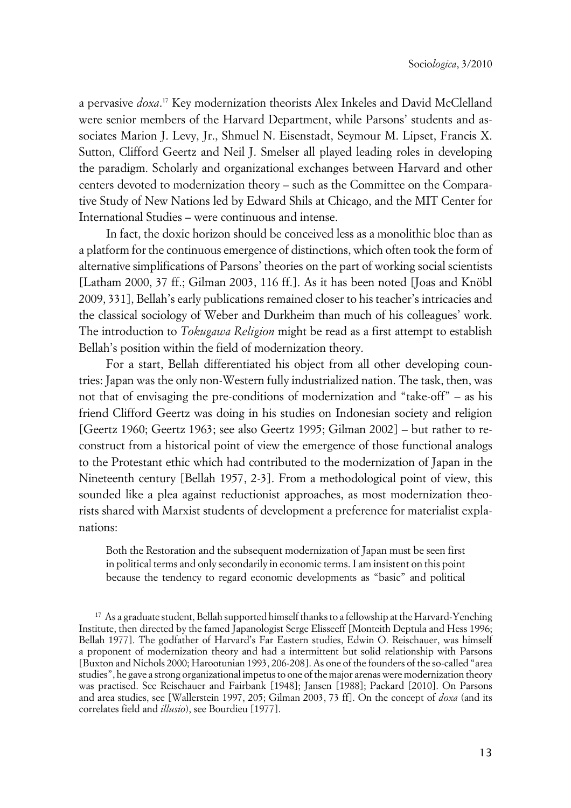a pervasive *doxa*. <sup>17</sup> Key modernization theorists Alex Inkeles and David McClelland were senior members of the Harvard Department, while Parsons' students and associates Marion J. Levy, Jr., Shmuel N. Eisenstadt, Seymour M. Lipset, Francis X. Sutton, Clifford Geertz and Neil J. Smelser all played leading roles in developing the paradigm. Scholarly and organizational exchanges between Harvard and other centers devoted to modernization theory – such as the Committee on the Comparative Study of New Nations led by Edward Shils at Chicago, and the MIT Center for International Studies – were continuous and intense.

In fact, the doxic horizon should be conceived less as a monolithic bloc than as a platform for the continuous emergence of distinctions, which often took the form of alternative simplifications of Parsons' theories on the part of working social scientists [Latham 2000, 37 ff.; Gilman 2003, 116 ff.]. As it has been noted [Joas and Knöbl 2009, 331], Bellah's early publications remained closer to his teacher's intricacies and the classical sociology of Weber and Durkheim than much of his colleagues' work. The introduction to *Tokugawa Religion* might be read as a first attempt to establish Bellah's position within the field of modernization theory.

For a start, Bellah differentiated his object from all other developing countries: Japan was the only non-Western fully industrialized nation. The task, then, was not that of envisaging the pre-conditions of modernization and "take-off" – as his friend Clifford Geertz was doing in his studies on Indonesian society and religion [Geertz 1960; Geertz 1963; see also Geertz 1995; Gilman 2002] – but rather to reconstruct from a historical point of view the emergence of those functional analogs to the Protestant ethic which had contributed to the modernization of Japan in the Nineteenth century [Bellah 1957, 2-3]. From a methodological point of view, this sounded like a plea against reductionist approaches, as most modernization theorists shared with Marxist students of development a preference for materialist explanations:

Both the Restoration and the subsequent modernization of Japan must be seen first in political terms and only secondarily in economic terms. I am insistent on this point because the tendency to regard economic developments as "basic" and political

<sup>17</sup> As a graduate student, Bellah supported himself thanks to a fellowship at the Harvard-Yenching Institute, then directed by the famed Japanologist Serge Elisseeff [Monteith Deptula and Hess 1996; Bellah 1977]. The godfather of Harvard's Far Eastern studies, Edwin O. Reischauer, was himself a proponent of modernization theory and had a intermittent but solid relationship with Parsons [Buxton and Nichols 2000; Harootunian 1993, 206-208]. As one of the founders of the so-called "area studies", he gave a strong organizational impetus to one of the major arenas were modernization theory was practised. See Reischauer and Fairbank [1948]; Jansen [1988]; Packard [2010]. On Parsons and area studies, see [Wallerstein 1997, 205; Gilman 2003, 73 ff]. On the concept of *doxa* (and its correlates field and *illusio*), see Bourdieu [1977].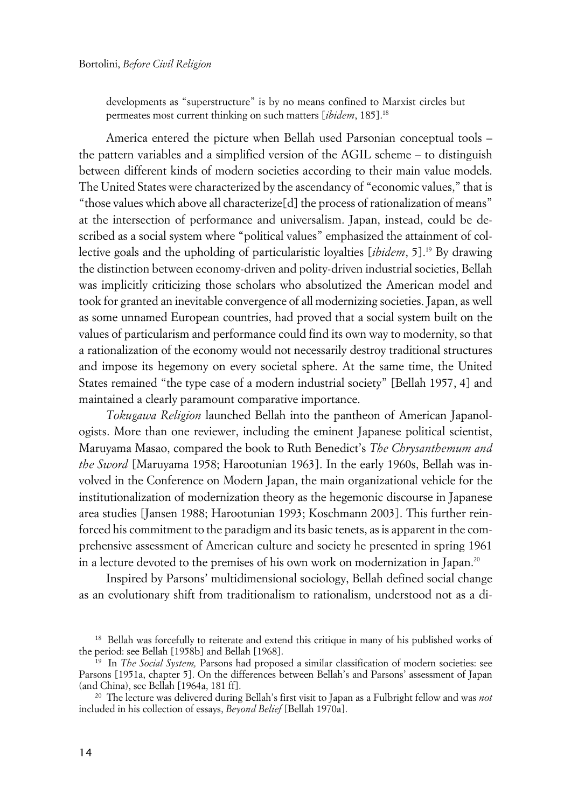developments as "superstructure" is by no means confined to Marxist circles but permeates most current thinking on such matters [*ibidem*, 185].<sup>18</sup>

America entered the picture when Bellah used Parsonian conceptual tools – the pattern variables and a simplified version of the AGIL scheme – to distinguish between different kinds of modern societies according to their main value models. The United States were characterized by the ascendancy of "economic values," that is "those values which above all characterize[d] the process of rationalization of means" at the intersection of performance and universalism. Japan, instead, could be described as a social system where "political values" emphasized the attainment of collective goals and the upholding of particularistic loyalties [*ibidem*, 5].<sup>19</sup> By drawing the distinction between economy-driven and polity-driven industrial societies, Bellah was implicitly criticizing those scholars who absolutized the American model and took for granted an inevitable convergence of all modernizing societies. Japan, as well as some unnamed European countries, had proved that a social system built on the values of particularism and performance could find its own way to modernity, so that a rationalization of the economy would not necessarily destroy traditional structures and impose its hegemony on every societal sphere. At the same time, the United States remained "the type case of a modern industrial society" [Bellah 1957, 4] and maintained a clearly paramount comparative importance.

*Tokugawa Religion* launched Bellah into the pantheon of American Japanologists. More than one reviewer, including the eminent Japanese political scientist, Maruyama Masao, compared the book to Ruth Benedict's *The Chrysanthemum and the Sword* [Maruyama 1958; Harootunian 1963]. In the early 1960s, Bellah was involved in the Conference on Modern Japan, the main organizational vehicle for the institutionalization of modernization theory as the hegemonic discourse in Japanese area studies [Jansen 1988; Harootunian 1993; Koschmann 2003]. This further reinforced his commitment to the paradigm and its basic tenets, as is apparent in the comprehensive assessment of American culture and society he presented in spring 1961 in a lecture devoted to the premises of his own work on modernization in Japan.<sup>20</sup>

Inspired by Parsons' multidimensional sociology, Bellah defined social change as an evolutionary shift from traditionalism to rationalism, understood not as a di-

<sup>&</sup>lt;sup>18</sup> Bellah was forcefully to reiterate and extend this critique in many of his published works of the period: see Bellah [1958b] and Bellah [1968].

<sup>19</sup> In *The Social System,* Parsons had proposed a similar classification of modern societies: see Parsons [1951a, chapter 5]. On the differences between Bellah's and Parsons' assessment of Japan (and China), see Bellah [1964a, 181 ff].

<sup>20</sup> The lecture was delivered during Bellah's first visit to Japan as a Fulbright fellow and was *not* included in his collection of essays, *Beyond Belief* [Bellah 1970a].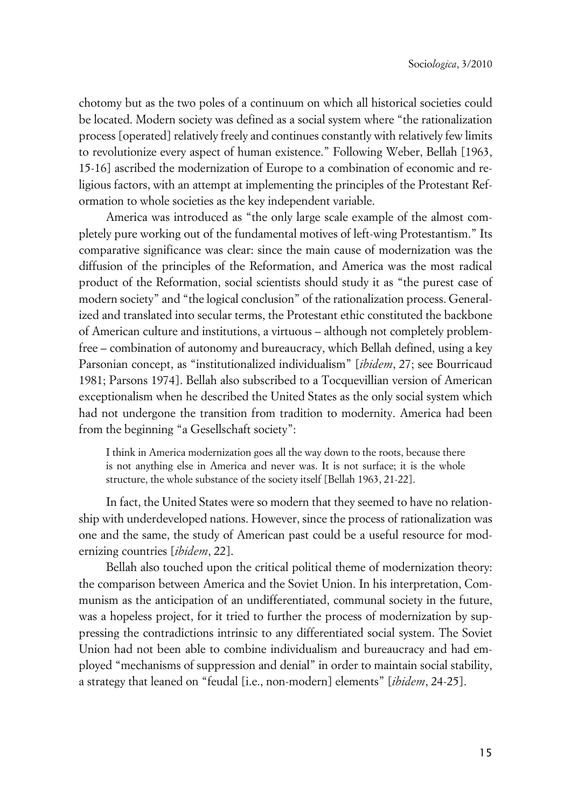chotomy but as the two poles of a continuum on which all historical societies could be located. Modern society was defined as a social system where "the rationalization process [operated] relatively freely and continues constantly with relatively few limits to revolutionize every aspect of human existence." Following Weber, Bellah [1963, 15-16] ascribed the modernization of Europe to a combination of economic and religious factors, with an attempt at implementing the principles of the Protestant Reformation to whole societies as the key independent variable.

America was introduced as "the only large scale example of the almost completely pure working out of the fundamental motives of left-wing Protestantism." Its comparative significance was clear: since the main cause of modernization was the diffusion of the principles of the Reformation, and America was the most radical product of the Reformation, social scientists should study it as "the purest case of modern society" and "the logical conclusion" of the rationalization process. Generalized and translated into secular terms, the Protestant ethic constituted the backbone of American culture and institutions, a virtuous – although not completely problemfree – combination of autonomy and bureaucracy, which Bellah defined, using a key Parsonian concept, as "institutionalized individualism" [*ibidem*, 27; see Bourricaud 1981; Parsons 1974]. Bellah also subscribed to a Tocquevillian version of American exceptionalism when he described the United States as the only social system which had not undergone the transition from tradition to modernity. America had been from the beginning "a Gesellschaft society":

I think in America modernization goes all the way down to the roots, because there is not anything else in America and never was. It is not surface; it is the whole structure, the whole substance of the society itself [Bellah 1963, 21-22].

In fact, the United States were so modern that they seemed to have no relationship with underdeveloped nations. However, since the process of rationalization was one and the same, the study of American past could be a useful resource for modernizing countries [*ibidem*, 22].

Bellah also touched upon the critical political theme of modernization theory: the comparison between America and the Soviet Union. In his interpretation, Communism as the anticipation of an undifferentiated, communal society in the future, was a hopeless project, for it tried to further the process of modernization by suppressing the contradictions intrinsic to any differentiated social system. The Soviet Union had not been able to combine individualism and bureaucracy and had employed "mechanisms of suppression and denial" in order to maintain social stability, a strategy that leaned on "feudal [i.e., non-modern] elements" [*ibidem*, 24-25].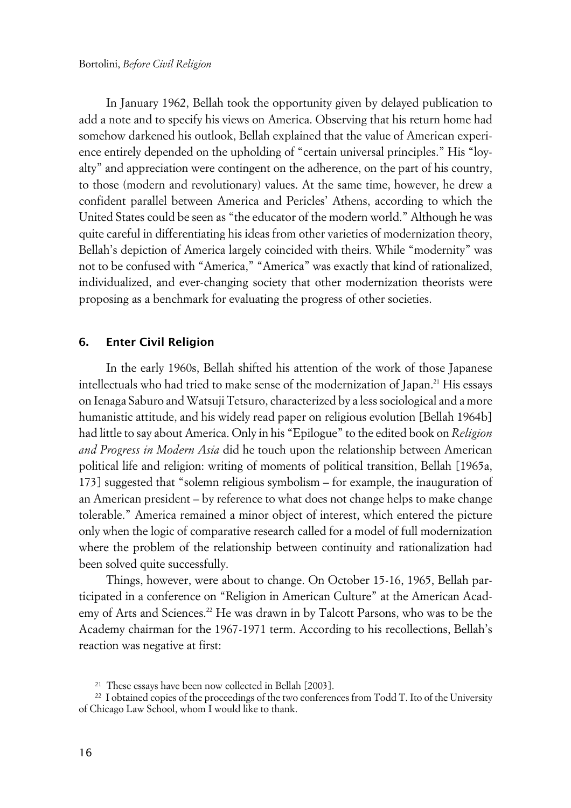In January 1962, Bellah took the opportunity given by delayed publication to add a note and to specify his views on America. Observing that his return home had somehow darkened his outlook, Bellah explained that the value of American experience entirely depended on the upholding of "certain universal principles." His "loyalty" and appreciation were contingent on the adherence, on the part of his country, to those (modern and revolutionary) values. At the same time, however, he drew a confident parallel between America and Pericles' Athens, according to which the United States could be seen as "the educator of the modern world." Although he was quite careful in differentiating his ideas from other varieties of modernization theory, Bellah's depiction of America largely coincided with theirs. While "modernity" was not to be confused with "America," "America" was exactly that kind of rationalized, individualized, and ever-changing society that other modernization theorists were proposing as a benchmark for evaluating the progress of other societies.

#### **6. Enter Civil Religion**

In the early 1960s, Bellah shifted his attention of the work of those Japanese intellectuals who had tried to make sense of the modernization of Japan.<sup>21</sup> His essays on Ienaga Saburo and Watsuji Tetsuro, characterized by a less sociological and a more humanistic attitude, and his widely read paper on religious evolution [Bellah 1964b] had little to say about America. Only in his "Epilogue" to the edited book on *Religion and Progress in Modern Asia* did he touch upon the relationship between American political life and religion: writing of moments of political transition, Bellah [1965a, 173] suggested that "solemn religious symbolism – for example, the inauguration of an American president – by reference to what does not change helps to make change tolerable." America remained a minor object of interest, which entered the picture only when the logic of comparative research called for a model of full modernization where the problem of the relationship between continuity and rationalization had been solved quite successfully.

Things, however, were about to change. On October 15-16, 1965, Bellah participated in a conference on "Religion in American Culture" at the American Academy of Arts and Sciences.<sup>22</sup> He was drawn in by Talcott Parsons, who was to be the Academy chairman for the 1967-1971 term. According to his recollections, Bellah's reaction was negative at first:

<sup>21</sup> These essays have been now collected in Bellah [2003].

<sup>&</sup>lt;sup>22</sup> I obtained copies of the proceedings of the two conferences from Todd T. Ito of the University of Chicago Law School, whom I would like to thank.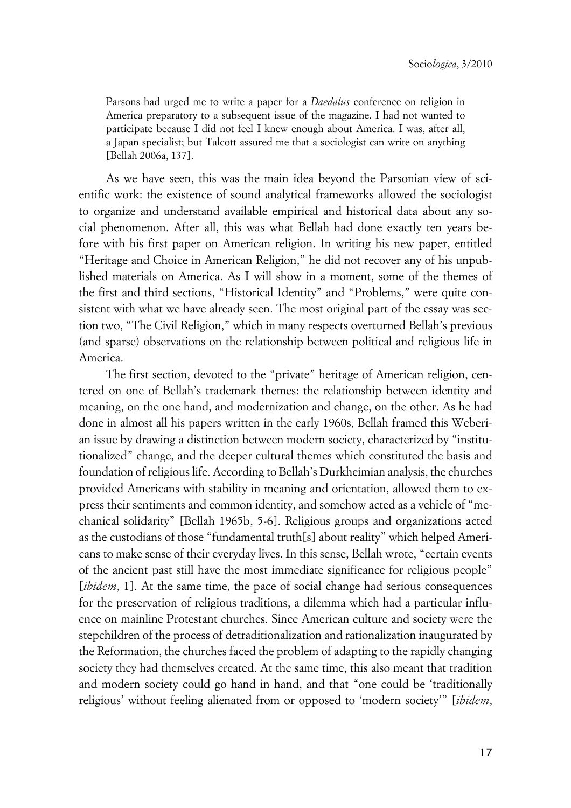Parsons had urged me to write a paper for a *Daedalus* conference on religion in America preparatory to a subsequent issue of the magazine. I had not wanted to participate because I did not feel I knew enough about America. I was, after all, a Japan specialist; but Talcott assured me that a sociologist can write on anything [Bellah 2006a, 137].

As we have seen, this was the main idea beyond the Parsonian view of scientific work: the existence of sound analytical frameworks allowed the sociologist to organize and understand available empirical and historical data about any social phenomenon. After all, this was what Bellah had done exactly ten years before with his first paper on American religion. In writing his new paper, entitled "Heritage and Choice in American Religion," he did not recover any of his unpublished materials on America. As I will show in a moment, some of the themes of the first and third sections, "Historical Identity" and "Problems," were quite consistent with what we have already seen. The most original part of the essay was section two, "The Civil Religion," which in many respects overturned Bellah's previous (and sparse) observations on the relationship between political and religious life in America.

The first section, devoted to the "private" heritage of American religion, centered on one of Bellah's trademark themes: the relationship between identity and meaning, on the one hand, and modernization and change, on the other. As he had done in almost all his papers written in the early 1960s, Bellah framed this Weberian issue by drawing a distinction between modern society, characterized by "institutionalized" change, and the deeper cultural themes which constituted the basis and foundation of religious life. According to Bellah's Durkheimian analysis, the churches provided Americans with stability in meaning and orientation, allowed them to express their sentiments and common identity, and somehow acted as a vehicle of "mechanical solidarity" [Bellah 1965b, 5-6]. Religious groups and organizations acted as the custodians of those "fundamental truth[s] about reality" which helped Americans to make sense of their everyday lives. In this sense, Bellah wrote, "certain events of the ancient past still have the most immediate significance for religious people" [*ibidem*, 1]. At the same time, the pace of social change had serious consequences for the preservation of religious traditions, a dilemma which had a particular influence on mainline Protestant churches. Since American culture and society were the stepchildren of the process of detraditionalization and rationalization inaugurated by the Reformation, the churches faced the problem of adapting to the rapidly changing society they had themselves created. At the same time, this also meant that tradition and modern society could go hand in hand, and that "one could be 'traditionally religious' without feeling alienated from or opposed to 'modern society'" [*ibidem*,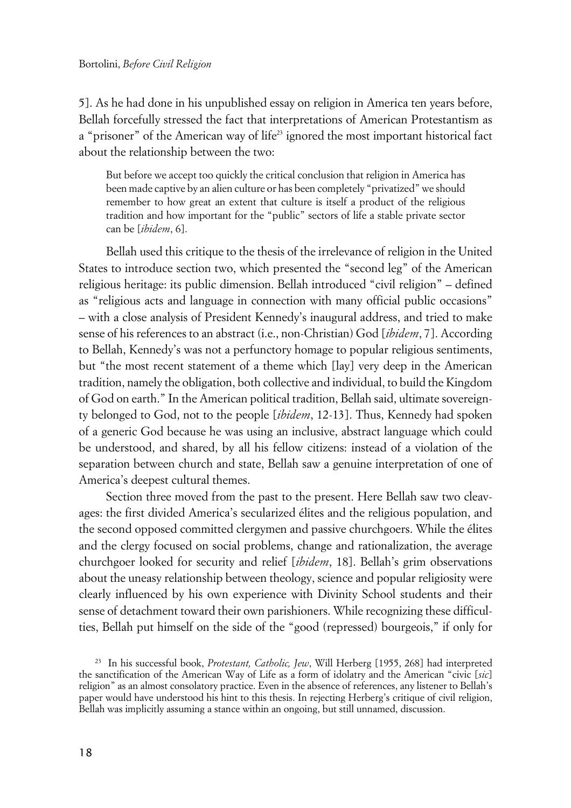5]. As he had done in his unpublished essay on religion in America ten years before, Bellah forcefully stressed the fact that interpretations of American Protestantism as a "prisoner" of the American way of life<sup>23</sup> ignored the most important historical fact about the relationship between the two:

But before we accept too quickly the critical conclusion that religion in America has been made captive by an alien culture or has been completely "privatized" we should remember to how great an extent that culture is itself a product of the religious tradition and how important for the "public" sectors of life a stable private sector can be [*ibidem*, 6].

Bellah used this critique to the thesis of the irrelevance of religion in the United States to introduce section two, which presented the "second leg" of the American religious heritage: its public dimension. Bellah introduced "civil religion" – defined as "religious acts and language in connection with many official public occasions" – with a close analysis of President Kennedy's inaugural address, and tried to make sense of his references to an abstract (i.e., non-Christian) God [*ibidem*, 7]. According to Bellah, Kennedy's was not a perfunctory homage to popular religious sentiments, but "the most recent statement of a theme which [lay] very deep in the American tradition, namely the obligation, both collective and individual, to build the Kingdom of God on earth." In the American political tradition, Bellah said, ultimate sovereignty belonged to God, not to the people [*ibidem*, 12-13]. Thus, Kennedy had spoken of a generic God because he was using an inclusive, abstract language which could be understood, and shared, by all his fellow citizens: instead of a violation of the separation between church and state, Bellah saw a genuine interpretation of one of America's deepest cultural themes.

Section three moved from the past to the present. Here Bellah saw two cleavages: the first divided America's secularized élites and the religious population, and the second opposed committed clergymen and passive churchgoers. While the élites and the clergy focused on social problems, change and rationalization, the average churchgoer looked for security and relief [*ibidem*, 18]. Bellah's grim observations about the uneasy relationship between theology, science and popular religiosity were clearly influenced by his own experience with Divinity School students and their sense of detachment toward their own parishioners. While recognizing these difficulties, Bellah put himself on the side of the "good (repressed) bourgeois," if only for

<sup>23</sup> In his successful book, *Protestant, Catholic, Jew*, Will Herberg [1955, 268] had interpreted the sanctification of the American Way of Life as a form of idolatry and the American "civic [*sic*] religion" as an almost consolatory practice. Even in the absence of references, any listener to Bellah's paper would have understood his hint to this thesis. In rejecting Herberg's critique of civil religion, Bellah was implicitly assuming a stance within an ongoing, but still unnamed, discussion.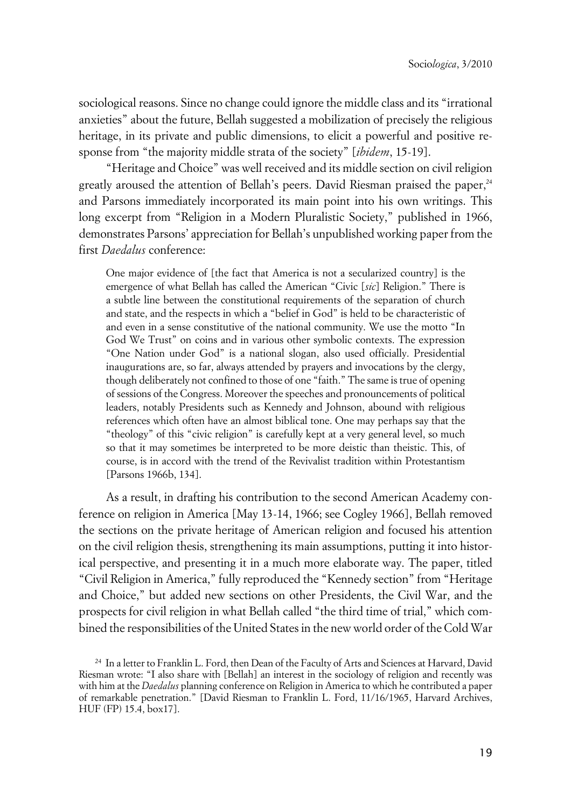sociological reasons. Since no change could ignore the middle class and its "irrational anxieties" about the future, Bellah suggested a mobilization of precisely the religious heritage, in its private and public dimensions, to elicit a powerful and positive response from "the majority middle strata of the society" [*ibidem*, 15-19].

"Heritage and Choice" was well received and its middle section on civil religion greatly aroused the attention of Bellah's peers. David Riesman praised the paper,<sup>24</sup> and Parsons immediately incorporated its main point into his own writings. This long excerpt from "Religion in a Modern Pluralistic Society," published in 1966, demonstrates Parsons' appreciation for Bellah's unpublished working paper from the first *Daedalus* conference:

One major evidence of [the fact that America is not a secularized country] is the emergence of what Bellah has called the American "Civic [*sic*] Religion." There is a subtle line between the constitutional requirements of the separation of church and state, and the respects in which a "belief in God" is held to be characteristic of and even in a sense constitutive of the national community. We use the motto "In God We Trust" on coins and in various other symbolic contexts. The expression "One Nation under God" is a national slogan, also used officially. Presidential inaugurations are, so far, always attended by prayers and invocations by the clergy, though deliberately not confined to those of one "faith." The same is true of opening of sessions of the Congress. Moreover the speeches and pronouncements of political leaders, notably Presidents such as Kennedy and Johnson, abound with religious references which often have an almost biblical tone. One may perhaps say that the "theology" of this "civic religion" is carefully kept at a very general level, so much so that it may sometimes be interpreted to be more deistic than theistic. This, of course, is in accord with the trend of the Revivalist tradition within Protestantism [Parsons 1966b, 134].

As a result, in drafting his contribution to the second American Academy conference on religion in America [May 13-14, 1966; see Cogley 1966], Bellah removed the sections on the private heritage of American religion and focused his attention on the civil religion thesis, strengthening its main assumptions, putting it into historical perspective, and presenting it in a much more elaborate way. The paper, titled "Civil Religion in America," fully reproduced the "Kennedy section" from "Heritage and Choice," but added new sections on other Presidents, the Civil War, and the prospects for civil religion in what Bellah called "the third time of trial," which combined the responsibilities of the United States in the new world order of the Cold War

<sup>24</sup> In a letter to Franklin L. Ford, then Dean of the Faculty of Arts and Sciences at Harvard, David Riesman wrote: "I also share with [Bellah] an interest in the sociology of religion and recently was with him at the *Daedalus* planning conference on Religion in America to which he contributed a paper of remarkable penetration." [David Riesman to Franklin L. Ford, 11/16/1965, Harvard Archives, HUF (FP) 15.4, box17].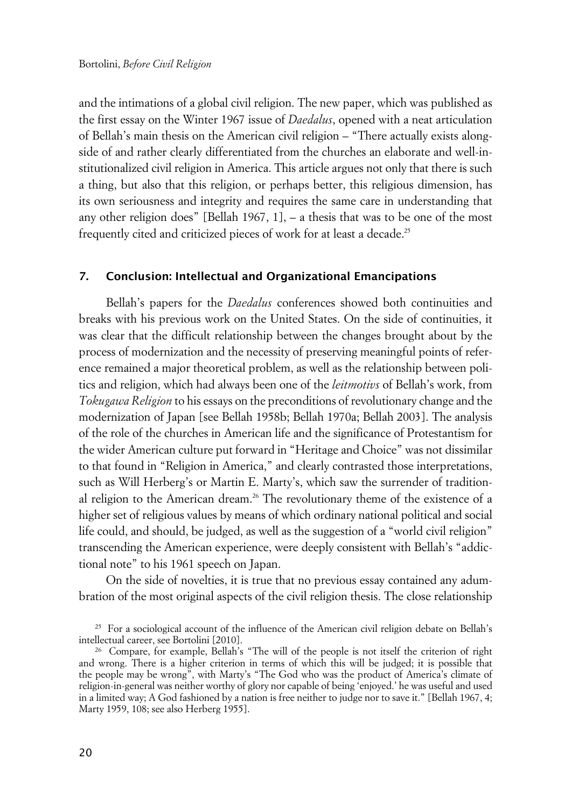and the intimations of a global civil religion. The new paper, which was published as the first essay on the Winter 1967 issue of *Daedalus*, opened with a neat articulation of Bellah's main thesis on the American civil religion – "There actually exists alongside of and rather clearly differentiated from the churches an elaborate and well-institutionalized civil religion in America. This article argues not only that there is such a thing, but also that this religion, or perhaps better, this religious dimension, has its own seriousness and integrity and requires the same care in understanding that any other religion does" [Bellah 1967, 1], – a thesis that was to be one of the most frequently cited and criticized pieces of work for at least a decade.<sup>25</sup>

#### **7. Conclusion: Intellectual and Organizational Emancipations**

Bellah's papers for the *Daedalus* conferences showed both continuities and breaks with his previous work on the United States. On the side of continuities, it was clear that the difficult relationship between the changes brought about by the process of modernization and the necessity of preserving meaningful points of reference remained a major theoretical problem, as well as the relationship between politics and religion, which had always been one of the *leitmotivs* of Bellah's work, from *Tokugawa Religion* to his essays on the preconditions of revolutionary change and the modernization of Japan [see Bellah 1958b; Bellah 1970a; Bellah 2003]. The analysis of the role of the churches in American life and the significance of Protestantism for the wider American culture put forward in "Heritage and Choice" was not dissimilar to that found in "Religion in America," and clearly contrasted those interpretations, such as Will Herberg's or Martin E. Marty's, which saw the surrender of traditional religion to the American dream.26 The revolutionary theme of the existence of a higher set of religious values by means of which ordinary national political and social life could, and should, be judged, as well as the suggestion of a "world civil religion" transcending the American experience, were deeply consistent with Bellah's "addictional note" to his 1961 speech on Japan.

On the side of novelties, it is true that no previous essay contained any adumbration of the most original aspects of the civil religion thesis. The close relationship

<sup>&</sup>lt;sup>25</sup> For a sociological account of the influence of the American civil religion debate on Bellah's intellectual career, see Bortolini [2010].

<sup>26</sup> Compare, for example, Bellah's "The will of the people is not itself the criterion of right and wrong. There is a higher criterion in terms of which this will be judged; it is possible that the people may be wrong", with Marty's "The God who was the product of America's climate of religion-in-general was neither worthy of glory nor capable of being 'enjoyed.' he was useful and used in a limited way; A God fashioned by a nation is free neither to judge nor to save it." [Bellah 1967, 4; Marty 1959, 108; see also Herberg 1955].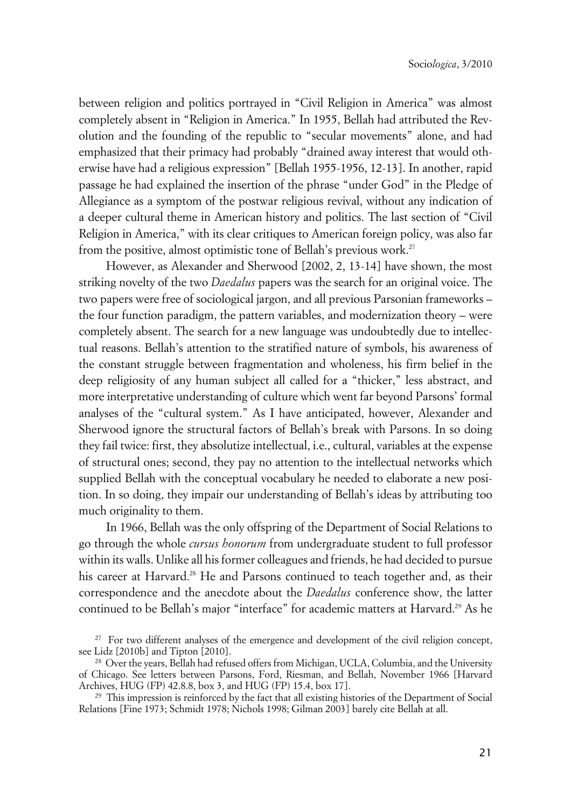between religion and politics portrayed in "Civil Religion in America" was almost completely absent in "Religion in America." In 1955, Bellah had attributed the Revolution and the founding of the republic to "secular movements" alone, and had emphasized that their primacy had probably "drained away interest that would otherwise have had a religious expression" [Bellah 1955-1956, 12-13]. In another, rapid passage he had explained the insertion of the phrase "under God" in the Pledge of Allegiance as a symptom of the postwar religious revival, without any indication of a deeper cultural theme in American history and politics. The last section of "Civil Religion in America," with its clear critiques to American foreign policy, was also far from the positive, almost optimistic tone of Bellah's previous work.<sup>27</sup>

However, as Alexander and Sherwood [2002, 2, 13-14] have shown, the most striking novelty of the two *Daedalus* papers was the search for an original voice. The two papers were free of sociological jargon, and all previous Parsonian frameworks – the four function paradigm, the pattern variables, and modernization theory – were completely absent. The search for a new language was undoubtedly due to intellectual reasons. Bellah's attention to the stratified nature of symbols, his awareness of the constant struggle between fragmentation and wholeness, his firm belief in the deep religiosity of any human subject all called for a "thicker," less abstract, and more interpretative understanding of culture which went far beyond Parsons' formal analyses of the "cultural system." As I have anticipated, however, Alexander and Sherwood ignore the structural factors of Bellah's break with Parsons. In so doing they fail twice: first, they absolutize intellectual, i.e., cultural, variables at the expense of structural ones; second, they pay no attention to the intellectual networks which supplied Bellah with the conceptual vocabulary he needed to elaborate a new position. In so doing, they impair our understanding of Bellah's ideas by attributing too much originality to them.

In 1966, Bellah was the only offspring of the Department of Social Relations to go through the whole *cursus honorum* from undergraduate student to full professor within its walls. Unlike all his former colleagues and friends, he had decided to pursue his career at Harvard.<sup>28</sup> He and Parsons continued to teach together and, as their correspondence and the anecdote about the *Daedalus* conference show, the latter continued to be Bellah's major "interface" for academic matters at Harvard.<sup>29</sup> As he x

<sup>&</sup>lt;sup>27</sup> For two different analyses of the emergence and development of the civil religion concept, see Lidz [2010b] and Tipton [2010].

<sup>&</sup>lt;sup>28</sup> Over the years, Bellah had refused offers from Michigan, UCLA, Columbia, and the University of Chicago. See letters between Parsons, Ford, Riesman, and Bellah, November 1966 [Harvard Archives, HUG (FP) 42.8.8, box 3, and HUG (FP) 15.4, box 17].

<sup>&</sup>lt;sup>29</sup> This impression is reinforced by the fact that all existing histories of the Department of Social Relations [Fine 1973; Schmidt 1978; Nichols 1998; Gilman 2003] barely cite Bellah at all.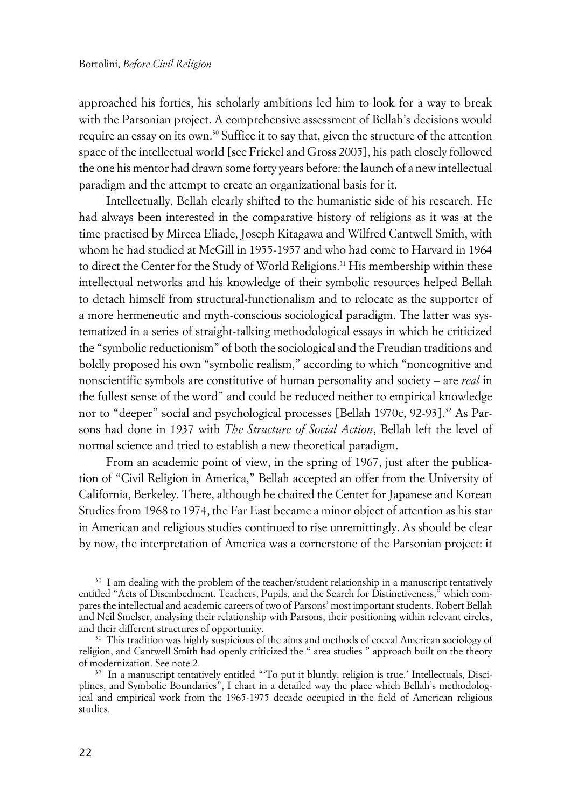approached his forties, his scholarly ambitions led him to look for a way to break with the Parsonian project. A comprehensive assessment of Bellah's decisions would require an essay on its own.<sup>30</sup> Suffice it to say that, given the structure of the attention space of the intellectual world [see Frickel and Gross 2005], his path closely followed the one his mentor had drawn some forty years before: the launch of a new intellectual paradigm and the attempt to create an organizational basis for it.

Intellectually, Bellah clearly shifted to the humanistic side of his research. He had always been interested in the comparative history of religions as it was at the time practised by Mircea Eliade, Joseph Kitagawa and Wilfred Cantwell Smith, with whom he had studied at McGill in 1955-1957 and who had come to Harvard in 1964 to direct the Center for the Study of World Religions.<sup>31</sup> His membership within these intellectual networks and his knowledge of their symbolic resources helped Bellah to detach himself from structural-functionalism and to relocate as the supporter of a more hermeneutic and myth-conscious sociological paradigm. The latter was systematized in a series of straight-talking methodological essays in which he criticized the "symbolic reductionism" of both the sociological and the Freudian traditions and boldly proposed his own "symbolic realism," according to which "noncognitive and nonscientific symbols are constitutive of human personality and society – are *real* in the fullest sense of the word" and could be reduced neither to empirical knowledge nor to "deeper" social and psychological processes [Bellah 1970c, 92-93].<sup>32</sup> As Parsons had done in 1937 with *The Structure of Social Action*, Bellah left the level of normal science and tried to establish a new theoretical paradigm.

From an academic point of view, in the spring of 1967, just after the publication of "Civil Religion in America," Bellah accepted an offer from the University of California, Berkeley. There, although he chaired the Center for Japanese and Korean Studies from 1968 to 1974, the Far East became a minor object of attention as his star in American and religious studies continued to rise unremittingly. As should be clear by now, the interpretation of America was a cornerstone of the Parsonian project: it

<sup>30</sup> I am dealing with the problem of the teacher/student relationship in a manuscript tentatively entitled "Acts of Disembedment. Teachers, Pupils, and the Search for Distinctiveness," which compares the intellectual and academic careers of two of Parsons' most important students, Robert Bellah and Neil Smelser, analysing their relationship with Parsons, their positioning within relevant circles, and their different structures of opportunity.

<sup>31</sup> This tradition was highly suspicious of the aims and methods of coeval American sociology of religion, and Cantwell Smith had openly criticized the " area studies " approach built on the theory of modernization. See note 2.

<sup>32</sup> In a manuscript tentatively entitled "To put it bluntly, religion is true.' Intellectuals, Disciplines, and Symbolic Boundaries", I chart in a detailed way the place which Bellah's methodological and empirical work from the 1965-1975 decade occupied in the field of American religious studies.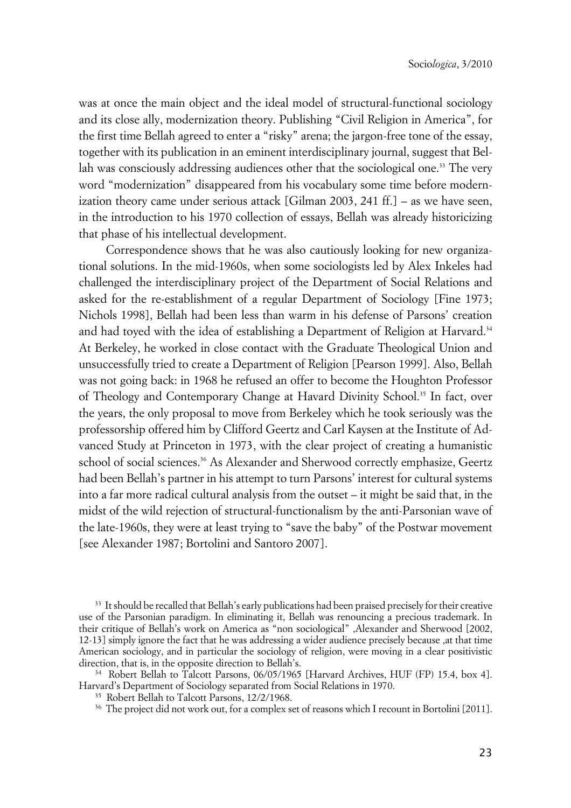was at once the main object and the ideal model of structural-functional sociology and its close ally, modernization theory. Publishing "Civil Religion in America", for the first time Bellah agreed to enter a "risky" arena; the jargon-free tone of the essay, together with its publication in an eminent interdisciplinary journal, suggest that Bellah was consciously addressing audiences other that the sociological one.<sup>33</sup> The very word "modernization" disappeared from his vocabulary some time before modernization theory came under serious attack [Gilman 2003, 241 ff.] – as we have seen, in the introduction to his 1970 collection of essays, Bellah was already historicizing that phase of his intellectual development.

Correspondence shows that he was also cautiously looking for new organizational solutions. In the mid-1960s, when some sociologists led by Alex Inkeles had challenged the interdisciplinary project of the Department of Social Relations and asked for the re-establishment of a regular Department of Sociology [Fine 1973; Nichols 1998], Bellah had been less than warm in his defense of Parsons' creation and had toyed with the idea of establishing a Department of Religion at Harvard.<sup>34</sup> At Berkeley, he worked in close contact with the Graduate Theological Union and unsuccessfully tried to create a Department of Religion [Pearson 1999]. Also, Bellah was not going back: in 1968 he refused an offer to become the Houghton Professor of Theology and Contemporary Change at Havard Divinity School.<sup>35</sup> In fact, over the years, the only proposal to move from Berkeley which he took seriously was the professorship offered him by Clifford Geertz and Carl Kaysen at the Institute of Advanced Study at Princeton in 1973, with the clear project of creating a humanistic school of social sciences.<sup>36</sup> As Alexander and Sherwood correctly emphasize, Geertz had been Bellah's partner in his attempt to turn Parsons' interest for cultural systems into a far more radical cultural analysis from the outset – it might be said that, in the midst of the wild rejection of structural-functionalism by the anti-Parsonian wave of the late-1960s, they were at least trying to "save the baby" of the Postwar movement [see Alexander 1987; Bortolini and Santoro 2007].

<sup>33</sup> It should be recalled that Bellah's early publications had been praised precisely for their creative use of the Parsonian paradigm. In eliminating it, Bellah was renouncing a precious trademark. In their critique of Bellah's work on America as "non sociological" ,Alexander and Sherwood [2002, 12-13] simply ignore the fact that he was addressing a wider audience precisely because ,at that time American sociology, and in particular the sociology of religion, were moving in a clear positivistic direction, that is, in the opposite direction to Bellah's.

<sup>34</sup> Robert Bellah to Talcott Parsons, 06/05/1965 [Harvard Archives, HUF (FP) 15.4, box 4]. Harvard's Department of Sociology separated from Social Relations in 1970.

<sup>&</sup>lt;sup>35</sup> Robert Bellah to Talcott Parsons, 12/2/1968.

<sup>&</sup>lt;sup>36</sup> The project did not work out, for a complex set of reasons which I recount in Bortolini [2011].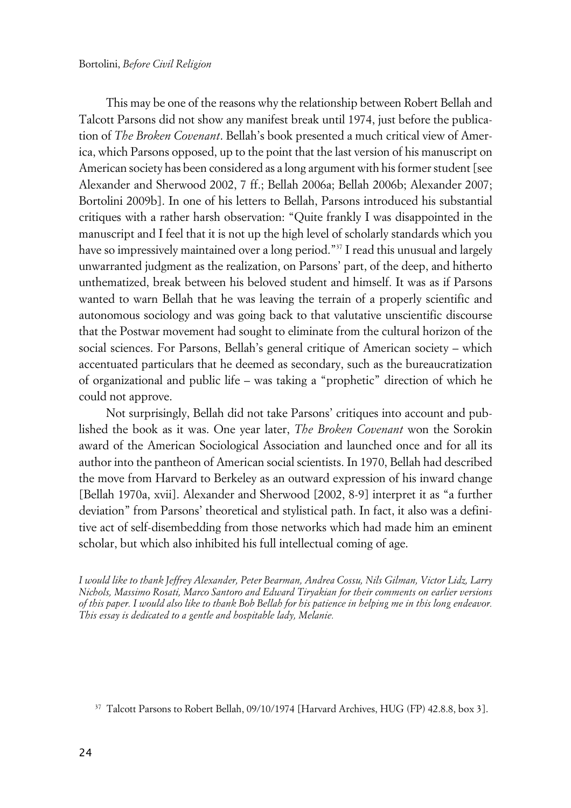This may be one of the reasons why the relationship between Robert Bellah and Talcott Parsons did not show any manifest break until 1974, just before the publication of *The Broken Covenant*. Bellah's book presented a much critical view of America, which Parsons opposed, up to the point that the last version of his manuscript on American society has been considered as a long argument with his former student [see Alexander and Sherwood 2002, 7 ff.; Bellah 2006a; Bellah 2006b; Alexander 2007; Bortolini 2009b]. In one of his letters to Bellah, Parsons introduced his substantial critiques with a rather harsh observation: "Quite frankly I was disappointed in the manuscript and I feel that it is not up the high level of scholarly standards which you have so impressively maintained over a long period."<sup>37</sup> I read this unusual and largely unwarranted judgment as the realization, on Parsons' part, of the deep, and hitherto unthematized, break between his beloved student and himself. It was as if Parsons wanted to warn Bellah that he was leaving the terrain of a properly scientific and autonomous sociology and was going back to that valutative unscientific discourse that the Postwar movement had sought to eliminate from the cultural horizon of the social sciences. For Parsons, Bellah's general critique of American society – which accentuated particulars that he deemed as secondary, such as the bureaucratization of organizational and public life – was taking a "prophetic" direction of which he could not approve.

Not surprisingly, Bellah did not take Parsons' critiques into account and published the book as it was. One year later, *The Broken Covenant* won the Sorokin award of the American Sociological Association and launched once and for all its author into the pantheon of American social scientists. In 1970, Bellah had described the move from Harvard to Berkeley as an outward expression of his inward change [Bellah 1970a, xvii]. Alexander and Sherwood [2002, 8-9] interpret it as "a further deviation" from Parsons' theoretical and stylistical path. In fact, it also was a definitive act of self-disembedding from those networks which had made him an eminent scholar, but which also inhibited his full intellectual coming of age.

*I would like to thank Jeffrey Alexander, Peter Bearman, Andrea Cossu, Nils Gilman, Victor Lidz, Larry Nichols, Massimo Rosati, Marco Santoro and Edward Tiryakian for their comments on earlier versions of this paper. I would also like to thank Bob Bellah for his patience in helping me in this long endeavor. This essay is dedicated to a gentle and hospitable lady, Melanie.*

<sup>37</sup> Talcott Parsons to Robert Bellah, 09/10/1974 [Harvard Archives, HUG (FP) 42.8.8, box 3].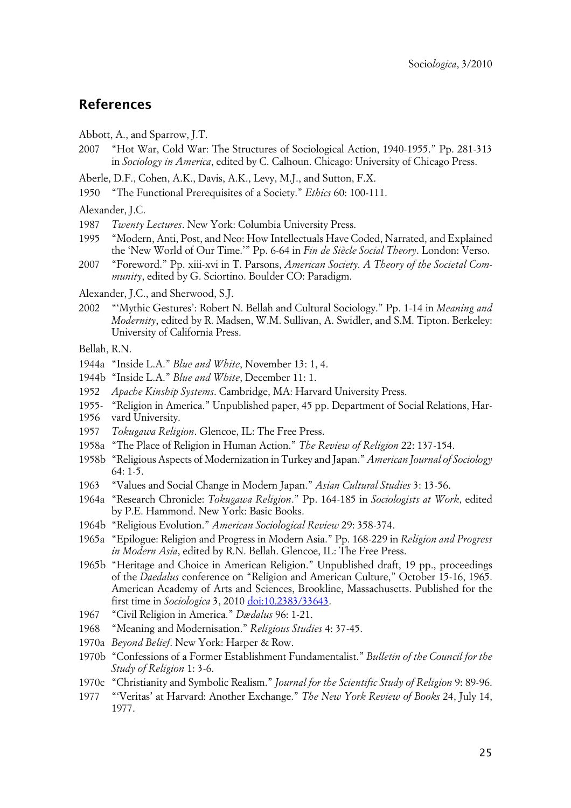#### **References**

- Abbott, A., and Sparrow, J.T.
- 2007 "Hot War, Cold War: The Structures of Sociological Action, 1940-1955." Pp. 281-313 in *Sociology in America*, edited by C. Calhoun. Chicago: University of Chicago Press.
- Aberle, D.F., Cohen, A.K., Davis, A.K., Levy, M.J., and Sutton, F.X.
- 1950 "The Functional Prerequisites of a Society." *Ethics* 60: 100-111.

Alexander, J.C.

- 1987 *Twenty Lectures*. New York: Columbia University Press.
- 1995 "Modern, Anti, Post, and Neo: How Intellectuals Have Coded, Narrated, and Explained the 'New World of Our Time.'" Pp. 6-64 in *Fin de Siècle Social Theory*. London: Verso.
- 2007 "Foreword." Pp. xiii-xvi in T. Parsons, *American Society. A Theory of the Societal Community*, edited by G. Sciortino. Boulder CO: Paradigm.

Alexander, J.C., and Sherwood, S.J.

2002 "'Mythic Gestures': Robert N. Bellah and Cultural Sociology." Pp. 1-14 in *Meaning and Modernity*, edited by R. Madsen, W.M. Sullivan, A. Swidler, and S.M. Tipton. Berkeley: University of California Press.

Bellah, R.N.

- 1944a "Inside L.A." *Blue and White*, November 13: 1, 4.
- 1944b "Inside L.A." *Blue and White*, December 11: 1.
- 1952 *Apache Kinship Systems*. Cambridge, MA: Harvard University Press.
- 1955- "Religion in America." Unpublished paper, 45 pp. Department of Social Relations, Har-
- 1956 vard University.
- 1957 *Tokugawa Religion*. Glencoe, IL: The Free Press.
- 1958a "The Place of Religion in Human Action." *The Review of Religion* 22: 137-154.
- 1958b "Religious Aspects of Modernization in Turkey and Japan." *American Journal of Sociology* 64: 1-5.
- 1963 "Values and Social Change in Modern Japan." *Asian Cultural Studies* 3: 13-56.
- 1964a "Research Chronicle: *Tokugawa Religion*." Pp. 164-185 in *Sociologists at Work*, edited by P.E. Hammond. New York: Basic Books.
- 1964b "Religious Evolution." *American Sociological Review* 29: 358-374.
- 1965a "Epilogue: Religion and Progress in Modern Asia." Pp. 168-229 in *Religion and Progress in Modern Asia*, edited by R.N. Bellah. Glencoe, IL: The Free Press.
- 1965b "Heritage and Choice in American Religion." Unpublished draft, 19 pp., proceedings of the *Daedalus* conference on "Religion and American Culture," October 15-16, 1965. American Academy of Arts and Sciences, Brookline, Massachusetts. Published for the first time in *Sociologica* 3, 2010 [doi:10.2383/33643.](http://www.sociologica.mulino.it/doi/10.2383/33643)
- 1967 "Civil Religion in America." *Dædalus* 96: 1-21.
- 1968 "Meaning and Modernisation." *Religious Studies* 4: 37-45.
- 1970a *Beyond Belief*. New York: Harper & Row.
- 1970b "Confessions of a Former Establishment Fundamentalist." *Bulletin of the Council for the Study of Religion* 1: 3-6.
- 1970c "Christianity and Symbolic Realism." *Journal for the Scientific Study of Religion* 9: 89-96.
- 1977 "'Veritas' at Harvard: Another Exchange." *The New York Review of Books* 24, July 14, 1977.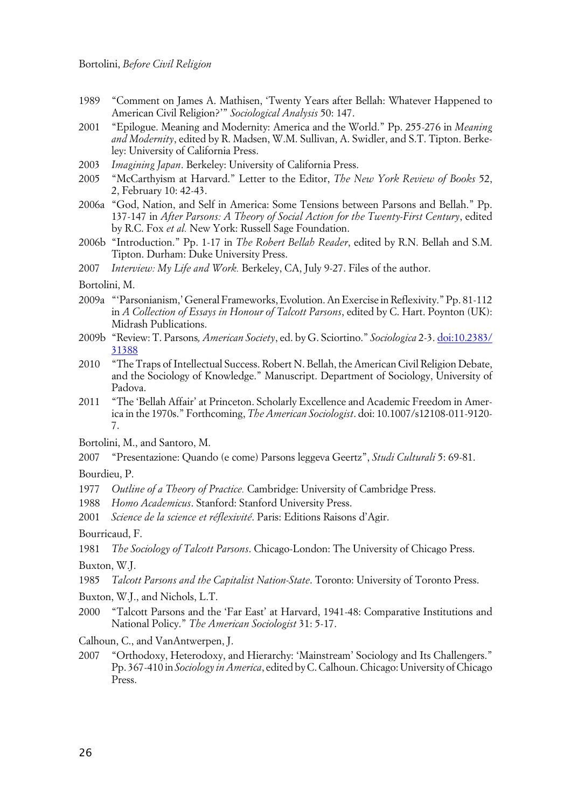- 1989 "Comment on James A. Mathisen, 'Twenty Years after Bellah: Whatever Happened to American Civil Religion?'" *Sociological Analysis* 50: 147.
- 2001 "Epilogue. Meaning and Modernity: America and the World." Pp. 255-276 in *Meaning and Modernity*, edited by R. Madsen, W.M. Sullivan, A. Swidler, and S.T. Tipton. Berkeley: University of California Press.
- 2003 *Imagining Japan*. Berkeley: University of California Press.
- 2005 "McCarthyism at Harvard." Letter to the Editor, *The New York Review of Books* 52, 2, February 10: 42-43.
- 2006a "God, Nation, and Self in America: Some Tensions between Parsons and Bellah." Pp. 137-147 in *After Parsons: A Theory of Social Action for the Twenty-First Century*, edited by R.C. Fox *et al.* New York: Russell Sage Foundation.
- 2006b "Introduction." Pp. 1-17 in *The Robert Bellah Reader*, edited by R.N. Bellah and S.M. Tipton. Durham: Duke University Press.
- 2007 *Interview: My Life and Work.* Berkeley, CA, July 9-27. Files of the author.
- Bortolini, M.
- 2009a "'Parsonianism,' General Frameworks, Evolution. An Exercise in Reflexivity." Pp. 81-112 in *A Collection of Essays in Honour of Talcott Parsons*, edited by C. Hart. Poynton (UK): Midrash Publications.
- 2009b "Review: T. Parsons*, American Society*, ed. by G. Sciortino." *Sociologica* 2-3. [doi:10.2383/](http://www.sociologica.mulino.it/doi/10.2383/31388) [31388](http://www.sociologica.mulino.it/doi/10.2383/31388)
- 2010 "The Traps of Intellectual Success. Robert N. Bellah, the American Civil Religion Debate, and the Sociology of Knowledge." Manuscript. Department of Sociology, University of Padova.
- 2011 "The 'Bellah Affair' at Princeton. Scholarly Excellence and Academic Freedom in America in the 1970s." Forthcoming, *The American Sociologist*. doi: 10.1007/s12108-011-9120- 7.
- Bortolini, M., and Santoro, M.
- 2007 "Presentazione: Quando (e come) Parsons leggeva Geertz", *Studi Culturali* 5: 69-81.

Bourdieu, P.

- 1977 *Outline of a Theory of Practice.* Cambridge: University of Cambridge Press.
- 1988 *Homo Academicus*. Stanford: Stanford University Press.
- 2001 *Science de la science et réflexivité*. Paris: Editions Raisons d'Agir.

Bourricaud, F.

1981 *The Sociology of Talcott Parsons*. Chicago-London: The University of Chicago Press.

Buxton, W.J.

- 1985 *Talcott Parsons and the Capitalist Nation-State*. Toronto: University of Toronto Press.
- Buxton, W.J., and Nichols, L.T.
- 2000 "Talcott Parsons and the 'Far East' at Harvard, 1941-48: Comparative Institutions and National Policy." *The American Sociologist* 31: 5-17.
- Calhoun, C., and VanAntwerpen, J.
- 2007 "Orthodoxy, Heterodoxy, and Hierarchy: 'Mainstream' Sociology and Its Challengers." Pp. 367-410 in *Sociology in America*, edited by C. Calhoun. Chicago: University of Chicago Press.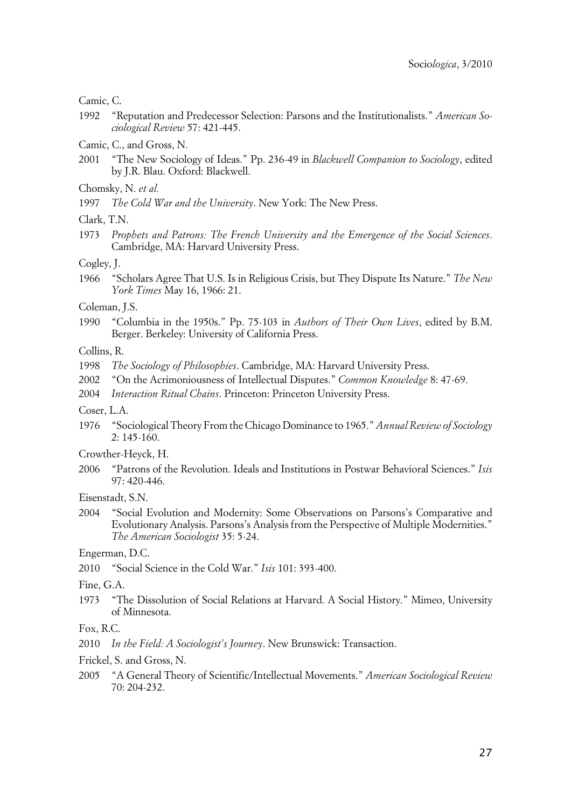Camic, C.

- 1992 "Reputation and Predecessor Selection: Parsons and the Institutionalists." *American Sociological Review* 57: 421-445.
- Camic, C., and Gross, N.
- 2001 "The New Sociology of Ideas." Pp. 236-49 in *Blackwell Companion to Sociology*, edited by J.R. Blau. Oxford: Blackwell.
- Chomsky, N. *et al.*
- 1997 *The Cold War and the University*. New York: The New Press.
- Clark, T.N.
- 1973 *Prophets and Patrons: The French University and the Emergence of the Social Sciences*. Cambridge, MA: Harvard University Press.

Cogley, J.

1966 "Scholars Agree That U.S. Is in Religious Crisis, but They Dispute Its Nature." *The New York Times* May 16, 1966: 21.

#### Coleman, J.S.

1990 "Columbia in the 1950s." Pp. 75-103 in *Authors of Their Own Lives*, edited by B.M. Berger. Berkeley: University of California Press.

Collins, R.

- 1998 *The Sociology of Philosophies*. Cambridge, MA: Harvard University Press.
- 2002 "On the Acrimoniousness of Intellectual Disputes." *Common Knowledge* 8: 47-69.
- 2004 *Interaction Ritual Chains*. Princeton: Princeton University Press.
- Coser, L.A.
- 1976 "Sociological Theory From the Chicago Dominance to 1965." *Annual Review of Sociology* 2: 145-160.
- Crowther-Heyck, H.
- 2006 "Patrons of the Revolution. Ideals and Institutions in Postwar Behavioral Sciences." *Isis* 97: 420-446.

Eisenstadt, S.N.

2004 "Social Evolution and Modernity: Some Observations on Parsons's Comparative and Evolutionary Analysis. Parsons's Analysis from the Perspective of Multiple Modernities." *The American Sociologist* 35: 5-24.

Engerman, D.C.

2010 "Social Science in the Cold War." *Isis* 101: 393-400.

Fine, G.A.

1973 "The Dissolution of Social Relations at Harvard. A Social History." Mimeo, University of Minnesota.

#### Fox, R.C.

2010 *In the Field: A Sociologist's Journey*. New Brunswick: Transaction.

Frickel, S. and Gross, N.

2005 "A General Theory of Scientific/Intellectual Movements." *American Sociological Review* 70: 204-232.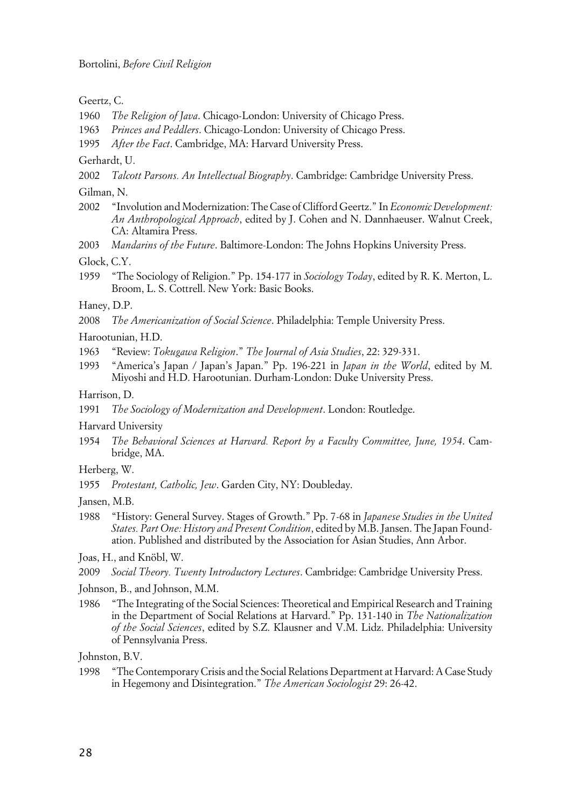Geertz, C.

- 1960 *The Religion of Java*. Chicago-London: University of Chicago Press.
- 1963 *Princes and Peddlers*. Chicago-London: University of Chicago Press.
- 1995 *After the Fact*. Cambridge, MA: Harvard University Press.

Gerhardt, U.

2002 *Talcott Parsons. An Intellectual Biography*. Cambridge: Cambridge University Press.

Gilman, N.

- 2002 "Involution and Modernization: The Case of Clifford Geertz." In *Economic Development: An Anthropological Approach*, edited by J. Cohen and N. Dannhaeuser. Walnut Creek, CA: Altamira Press.
- 2003 *Mandarins of the Future*. Baltimore-London: The Johns Hopkins University Press.

Glock, C.Y.

1959 "The Sociology of Religion." Pp. 154-177 in *Sociology Today*, edited by R. K. Merton, L. Broom, L. S. Cottrell. New York: Basic Books.

Haney, D.P.

2008 *The Americanization of Social Science*. Philadelphia: Temple University Press.

Harootunian, H.D.

- 1963 "Review: *Tokugawa Religion*." *The Journal of Asia Studies*, 22: 329-331.
- 1993 "America's Japan / Japan's Japan." Pp. 196-221 in *Japan in the World*, edited by M. Miyoshi and H.D. Harootunian. Durham-London: Duke University Press.

Harrison, D.

1991 *The Sociology of Modernization and Development*. London: Routledge.

Harvard University

1954 *The Behavioral Sciences at Harvard. Report by a Faculty Committee, June, 1954*. Cambridge, MA.

Herberg, W.

1955 *Protestant, Catholic, Jew*. Garden City, NY: Doubleday.

Jansen, M.B.

1988 "History: General Survey. Stages of Growth." Pp. 7-68 in *Japanese Studies in the United States. Part One: History and Present Condition*, edited by M.B. Jansen. The Japan Foundation. Published and distributed by the Association for Asian Studies, Ann Arbor.

Joas, H., and Knöbl, W.

2009 *Social Theory. Twenty Introductory Lectures*. Cambridge: Cambridge University Press.

Johnson, B., and Johnson, M.M.

1986 "The Integrating of the Social Sciences: Theoretical and Empirical Research and Training in the Department of Social Relations at Harvard." Pp. 131-140 in *The Nationalization of the Social Sciences*, edited by S.Z. Klausner and V.M. Lidz. Philadelphia: University of Pennsylvania Press.

Johnston, B.V.

1998 "The Contemporary Crisis and the Social Relations Department at Harvard: A Case Study in Hegemony and Disintegration." *The American Sociologist* 29: 26-42.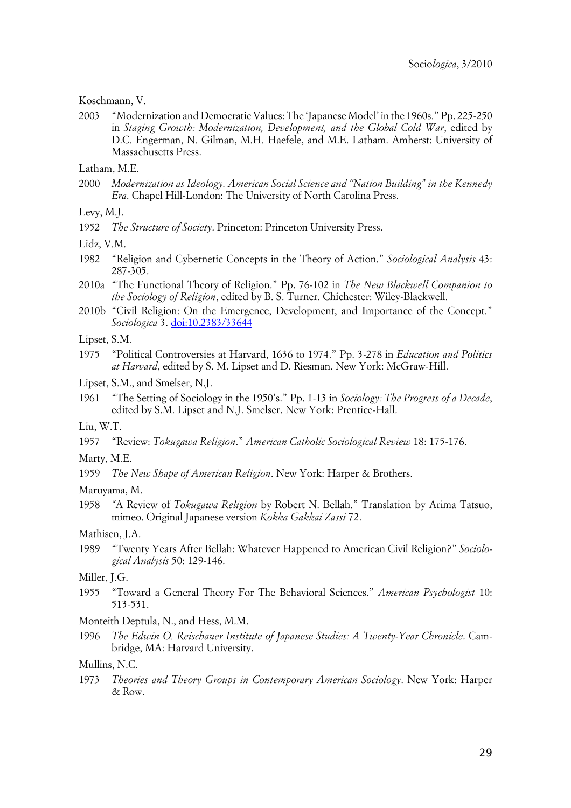Koschmann, V.

2003 "Modernization and Democratic Values: The 'Japanese Model' in the 1960s." Pp. 225-250 in *Staging Growth: Modernization, Development, and the Global Cold War*, edited by D.C. Engerman, N. Gilman, M.H. Haefele, and M.E. Latham. Amherst: University of Massachusetts Press.

Latham, M.E.

2000 *Modernization as Ideology. American Social Science and "Nation Building" in the Kennedy Era*. Chapel Hill-London: The University of North Carolina Press.

Levy, M.J.

1952 *The Structure of Society*. Princeton: Princeton University Press.

Lidz, V.M.

- 1982 "Religion and Cybernetic Concepts in the Theory of Action." *Sociological Analysis* 43: 287-305.
- 2010a "The Functional Theory of Religion." Pp. 76-102 in *The New Blackwell Companion to the Sociology of Religion*, edited by B. S. Turner. Chichester: Wiley-Blackwell.
- 2010b "Civil Religion: On the Emergence, Development, and Importance of the Concept." *Sociologica* 3. [doi:10.2383/33644](http://www.sociologica.mulino.it/doi/10.2383/33644)

Lipset, S.M.

1975 "Political Controversies at Harvard, 1636 to 1974." Pp. 3-278 in *Education and Politics at Harvard*, edited by S. M. Lipset and D. Riesman. New York: McGraw-Hill.

Lipset, S.M., and Smelser, N.J.

1961 "The Setting of Sociology in the 1950's." Pp. 1-13 in *Sociology: The Progress of a Decade*, edited by S.M. Lipset and N.J. Smelser. New York: Prentice-Hall.

Liu, W.T.

- 1957 "Review: *Tokugawa Religion*." *American Catholic Sociological Review* 18: 175-176.
- Marty, M.E.
- 1959 *The New Shape of American Religion*. New York: Harper & Brothers.

Maruyama, M.

1958 *"*A Review of *Tokugawa Religion* by Robert N. Bellah." Translation by Arima Tatsuo, mimeo. Original Japanese version *Kokka Gakkai Zassi* 72.

Mathisen, J.A.

1989 "Twenty Years After Bellah: Whatever Happened to American Civil Religion?" *Sociological Analysis* 50: 129-146.

#### Miller, J.G.

- 1955 "Toward a General Theory For The Behavioral Sciences." *American Psychologist* 10: 513-531.
- Monteith Deptula, N., and Hess, M.M.
- 1996 *The Edwin O. Reischauer Institute of Japanese Studies: A Twenty-Year Chronicle*. Cambridge, MA: Harvard University.

Mullins, N.C.

1973 *Theories and Theory Groups in Contemporary American Sociology*. New York: Harper & Row.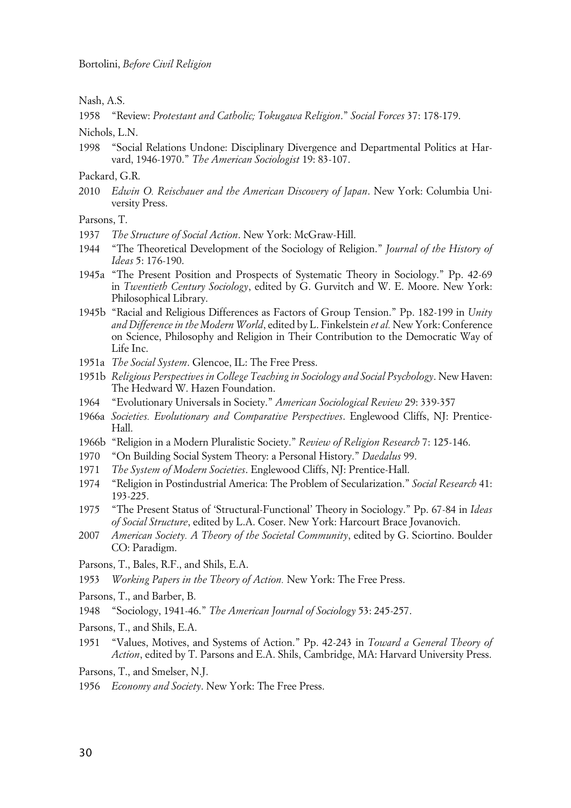Nash, A.S.

1958 "Review: *Protestant and Catholic; Tokugawa Religion*." *Social Forces* 37: 178-179.

Nichols, L.N.

1998 "Social Relations Undone: Disciplinary Divergence and Departmental Politics at Harvard, 1946-1970." *The American Sociologist* 19: 83-107.

Packard, G.R.

2010 *Edwin O. Reischauer and the American Discovery of Japan*. New York: Columbia University Press.

Parsons, T.

- 1937 *The Structure of Social Action*. New York: McGraw-Hill.
- 1944 "The Theoretical Development of the Sociology of Religion." *Journal of the History of Ideas* 5: 176-190.
- 1945a "The Present Position and Prospects of Systematic Theory in Sociology." Pp. 42-69 in *Twentieth Century Sociology*, edited by G. Gurvitch and W. E. Moore. New York: Philosophical Library.
- 1945b "Racial and Religious Differences as Factors of Group Tension." Pp. 182-199 in *Unity and Difference in the Modern World*, edited by L. Finkelstein *et al.* New York: Conference on Science, Philosophy and Religion in Their Contribution to the Democratic Way of Life Inc.
- 1951a *The Social System*. Glencoe, IL: The Free Press.
- 1951b *Religious Perspectives in College Teaching in Sociology and Social Psychology*. New Haven: The Hedward W. Hazen Foundation.
- 1964 "Evolutionary Universals in Society." *American Sociological Review* 29: 339-357
- 1966a *Societies. Evolutionary and Comparative Perspectives*. Englewood Cliffs, NJ: Prentice-Hall.
- 1966b "Religion in a Modern Pluralistic Society." *Review of Religion Research* 7: 125-146.
- 1970 "On Building Social System Theory: a Personal History." *Daedalus* 99.
- 1971 *The System of Modern Societies*. Englewood Cliffs, NJ: Prentice-Hall.
- 1974 "Religion in Postindustrial America: The Problem of Secularization." *Social Research* 41: 193-225.
- 1975 "The Present Status of 'Structural-Functional' Theory in Sociology." Pp. 67-84 in *Ideas of Social Structure*, edited by L.A. Coser. New York: Harcourt Brace Jovanovich.
- 2007 *American Society. A Theory of the Societal Community*, edited by G. Sciortino. Boulder CO: Paradigm.
- Parsons, T., Bales, R.F., and Shils, E.A.
- 1953 *Working Papers in the Theory of Action.* New York: The Free Press.
- Parsons, T., and Barber, B.
- 1948 "Sociology, 1941-46." *The American Journal of Sociology* 53: 245-257.
- Parsons, T., and Shils, E.A.
- 1951 "Values, Motives, and Systems of Action." Pp. 42-243 in *Toward a General Theory of Action*, edited by T. Parsons and E.A. Shils, Cambridge, MA: Harvard University Press.

Parsons, T., and Smelser, N.J.

1956 *Economy and Society*. New York: The Free Press.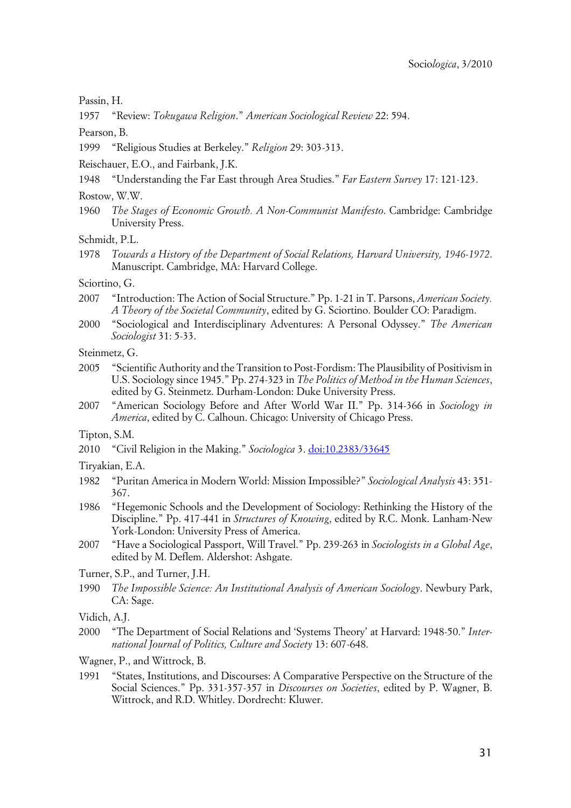Passin, H.

1957 "Review: *Tokugawa Religion*." *American Sociological Review* 22: 594.

Pearson, B.

1999 "Religious Studies at Berkeley." *Religion* 29: 303-313.

Reischauer, E.O., and Fairbank, J.K.

1948 "Understanding the Far East through Area Studies." *Far Eastern Survey* 17: 121-123.

Rostow, W.W.

1960 *The Stages of Economic Growth. A Non-Communist Manifesto*. Cambridge: Cambridge University Press.

Schmidt, P.L.

1978 *Towards a History of the Department of Social Relations, Harvard University, 1946-1972*. Manuscript. Cambridge, MA: Harvard College.

Sciortino, G.

- 2007 "Introduction: The Action of Social Structure." Pp. 1-21 in T. Parsons, *American Society. A Theory of the Societal Community*, edited by G. Sciortino. Boulder CO: Paradigm.
- 2000 "Sociological and Interdisciplinary Adventures: A Personal Odyssey." *The American Sociologist* 31: 5-33.

Steinmetz, G.

- 2005 "Scientific Authority and the Transition to Post-Fordism: The Plausibility of Positivism in U.S. Sociology since 1945." Pp. 274-323 in *The Politics of Method in the Human Sciences*, edited by G. Steinmetz. Durham-London: Duke University Press.
- 2007 "American Sociology Before and After World War II." Pp. 314-366 in *Sociology in America*, edited by C. Calhoun. Chicago: University of Chicago Press.

Tipton, S.M.

2010 "Civil Religion in the Making." *Sociologica* 3. [doi:10.2383/33645](http://www.sociologica.mulino.it/doi/10.2383/33645)

Tiryakian, E.A.

- 1982 "Puritan America in Modern World: Mission Impossible?" *Sociological Analysis* 43: 351- 367.
- 1986 "Hegemonic Schools and the Development of Sociology: Rethinking the History of the Discipline." Pp. 417-441 in *Structures of Knowing*, edited by R.C. Monk. Lanham-New York-London: University Press of America.
- 2007 "Have a Sociological Passport, Will Travel." Pp. 239-263 in *Sociologists in a Global Age*, edited by M. Deflem. Aldershot: Ashgate.
- Turner, S.P., and Turner, J.H.
- 1990 *The Impossible Science: An Institutional Analysis of American Sociology*. Newbury Park, CA: Sage.

Vidich, A.J.

2000 "The Department of Social Relations and 'Systems Theory' at Harvard: 1948-50." *International Journal of Politics, Culture and Society* 13: 607-648.

Wagner, P., and Wittrock, B.

1991 "States, Institutions, and Discourses: A Comparative Perspective on the Structure of the Social Sciences." Pp. 331-357-357 in *Discourses on Societies*, edited by P. Wagner, B. Wittrock, and R.D. Whitley. Dordrecht: Kluwer.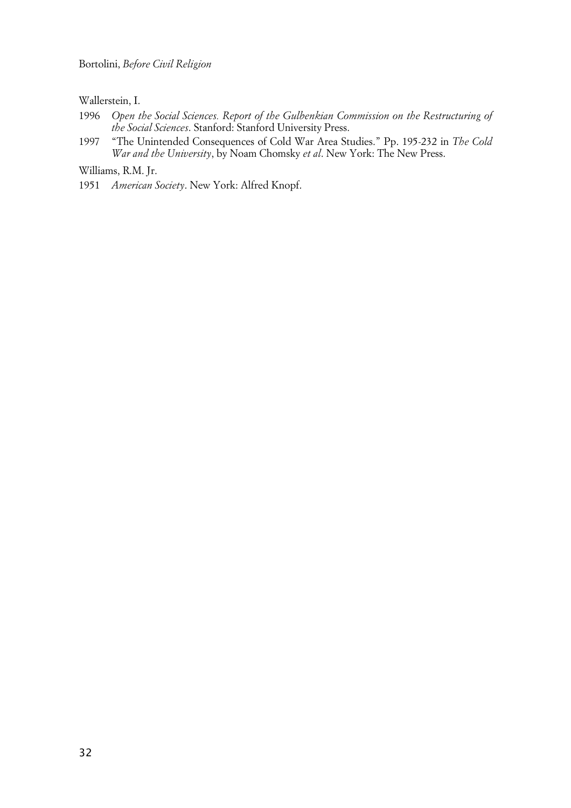Wallerstein, I.

- 1996 *Open the Social Sciences. Report of the Gulbenkian Commission on the Restructuring of the Social Sciences*. Stanford: Stanford University Press.
- 1997 "The Unintended Consequences of Cold War Area Studies." Pp. 195-232 in *The Cold War and the University*, by Noam Chomsky *et al*. New York: The New Press.

Williams, R.M. Jr.

1951 *American Society*. New York: Alfred Knopf.